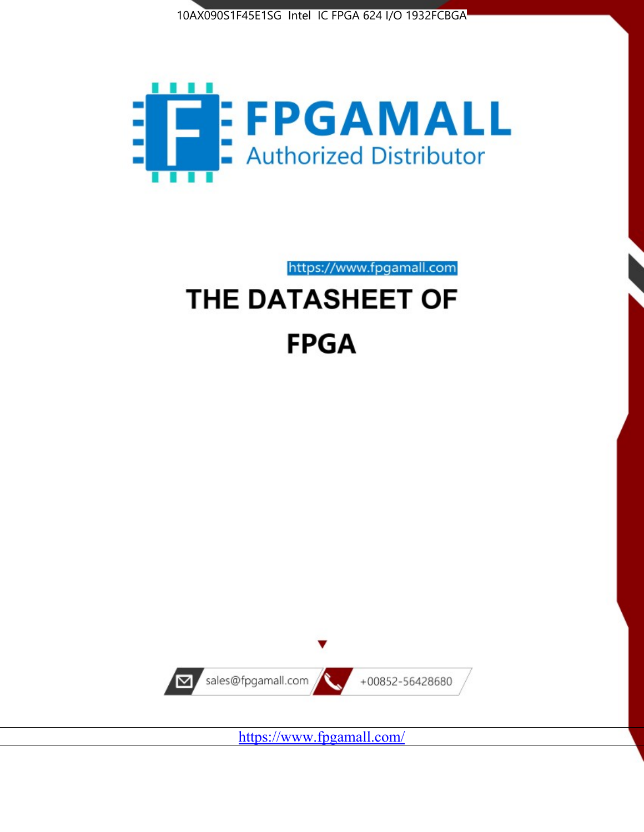



https://www.fpgamall.com

# THE DATASHEET OF **FPGA**



<https://www.fpgamall.com/>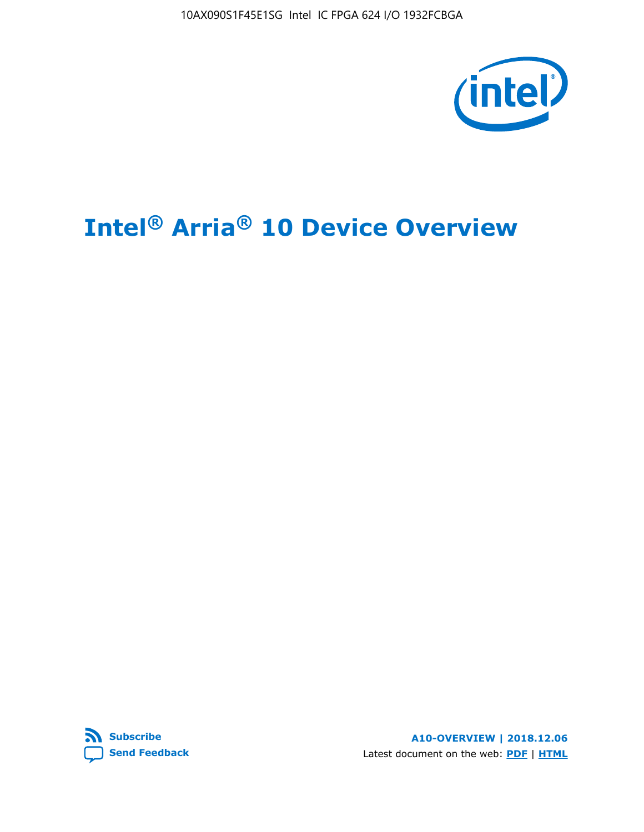10AX090S1F45E1SG Intel IC FPGA 624 I/O 1932FCBGA



# **Intel® Arria® 10 Device Overview**



**A10-OVERVIEW | 2018.12.06** Latest document on the web: **[PDF](https://www.intel.com/content/dam/www/programmable/us/en/pdfs/literature/hb/arria-10/a10_overview.pdf)** | **[HTML](https://www.intel.com/content/www/us/en/programmable/documentation/sam1403480274650.html)**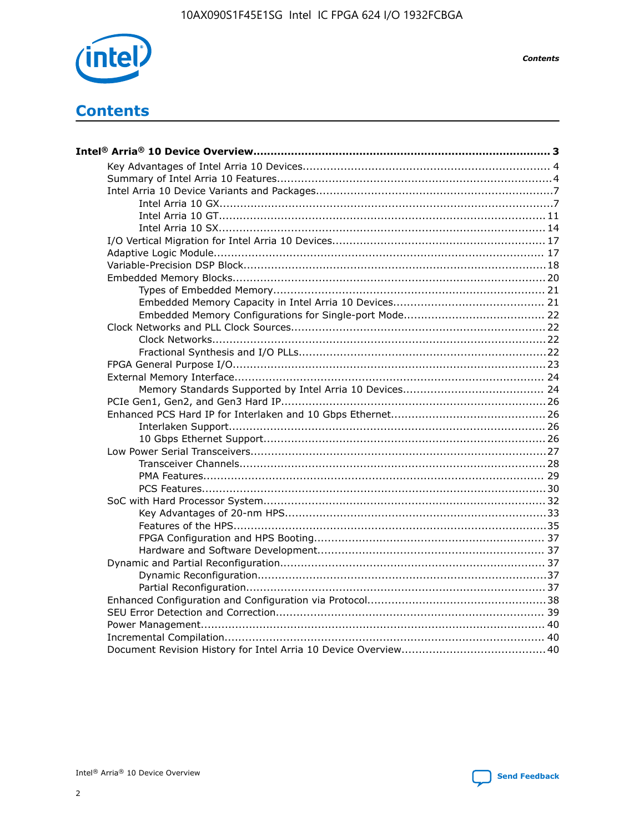

**Contents** 

# **Contents**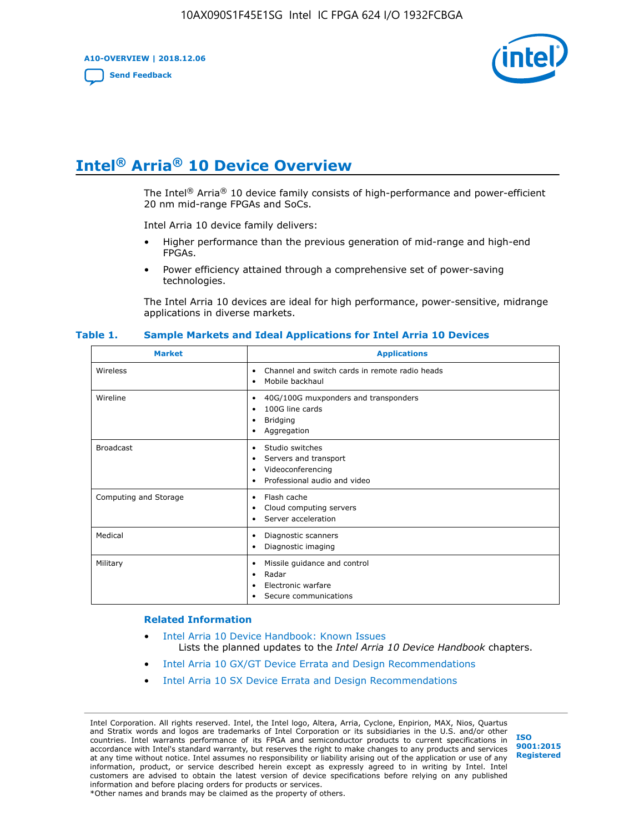**A10-OVERVIEW | 2018.12.06**

**[Send Feedback](mailto:FPGAtechdocfeedback@intel.com?subject=Feedback%20on%20Intel%20Arria%2010%20Device%20Overview%20(A10-OVERVIEW%202018.12.06)&body=We%20appreciate%20your%20feedback.%20In%20your%20comments,%20also%20specify%20the%20page%20number%20or%20paragraph.%20Thank%20you.)**



# **Intel® Arria® 10 Device Overview**

The Intel<sup>®</sup> Arria<sup>®</sup> 10 device family consists of high-performance and power-efficient 20 nm mid-range FPGAs and SoCs.

Intel Arria 10 device family delivers:

- Higher performance than the previous generation of mid-range and high-end FPGAs.
- Power efficiency attained through a comprehensive set of power-saving technologies.

The Intel Arria 10 devices are ideal for high performance, power-sensitive, midrange applications in diverse markets.

| <b>Market</b>         | <b>Applications</b>                                                                                               |
|-----------------------|-------------------------------------------------------------------------------------------------------------------|
| Wireless              | Channel and switch cards in remote radio heads<br>٠<br>Mobile backhaul<br>٠                                       |
| Wireline              | 40G/100G muxponders and transponders<br>٠<br>100G line cards<br>٠<br><b>Bridging</b><br>٠<br>Aggregation<br>٠     |
| <b>Broadcast</b>      | Studio switches<br>٠<br>Servers and transport<br>٠<br>Videoconferencing<br>٠<br>Professional audio and video<br>٠ |
| Computing and Storage | Flash cache<br>٠<br>Cloud computing servers<br>٠<br>Server acceleration<br>٠                                      |
| Medical               | Diagnostic scanners<br>٠<br>Diagnostic imaging<br>٠                                                               |
| Military              | Missile guidance and control<br>٠<br>Radar<br>٠<br>Electronic warfare<br>٠<br>Secure communications<br>٠          |

#### **Table 1. Sample Markets and Ideal Applications for Intel Arria 10 Devices**

#### **Related Information**

- [Intel Arria 10 Device Handbook: Known Issues](http://www.altera.com/support/kdb/solutions/rd07302013_646.html) Lists the planned updates to the *Intel Arria 10 Device Handbook* chapters.
- [Intel Arria 10 GX/GT Device Errata and Design Recommendations](https://www.intel.com/content/www/us/en/programmable/documentation/agz1493851706374.html#yqz1494433888646)
- [Intel Arria 10 SX Device Errata and Design Recommendations](https://www.intel.com/content/www/us/en/programmable/documentation/cru1462832385668.html#cru1462832558642)

Intel Corporation. All rights reserved. Intel, the Intel logo, Altera, Arria, Cyclone, Enpirion, MAX, Nios, Quartus and Stratix words and logos are trademarks of Intel Corporation or its subsidiaries in the U.S. and/or other countries. Intel warrants performance of its FPGA and semiconductor products to current specifications in accordance with Intel's standard warranty, but reserves the right to make changes to any products and services at any time without notice. Intel assumes no responsibility or liability arising out of the application or use of any information, product, or service described herein except as expressly agreed to in writing by Intel. Intel customers are advised to obtain the latest version of device specifications before relying on any published information and before placing orders for products or services. \*Other names and brands may be claimed as the property of others.

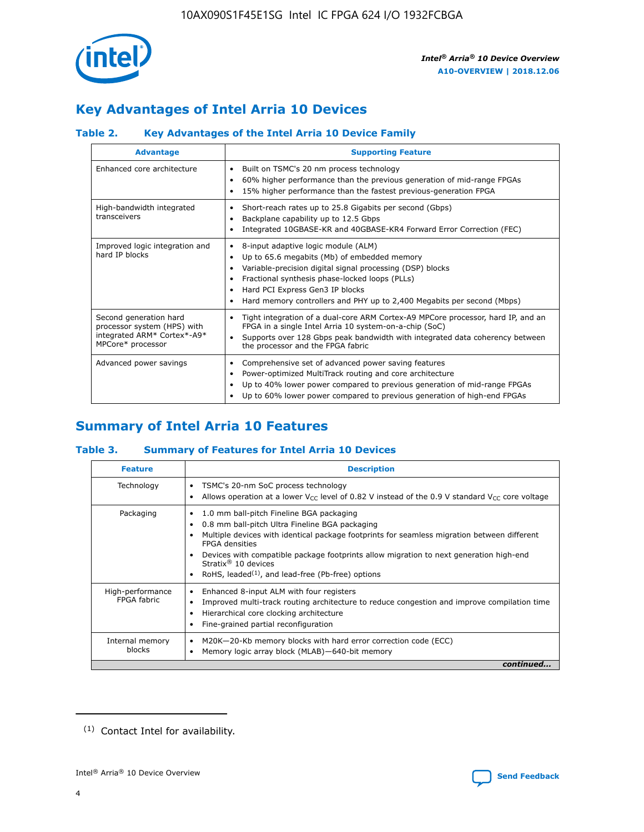

# **Key Advantages of Intel Arria 10 Devices**

# **Table 2. Key Advantages of the Intel Arria 10 Device Family**

| <b>Advantage</b>                                                                                          | <b>Supporting Feature</b>                                                                                                                                                                                                                                                                                                |  |  |  |  |  |  |
|-----------------------------------------------------------------------------------------------------------|--------------------------------------------------------------------------------------------------------------------------------------------------------------------------------------------------------------------------------------------------------------------------------------------------------------------------|--|--|--|--|--|--|
| Enhanced core architecture                                                                                | Built on TSMC's 20 nm process technology<br>٠<br>60% higher performance than the previous generation of mid-range FPGAs<br>٠<br>15% higher performance than the fastest previous-generation FPGA<br>٠                                                                                                                    |  |  |  |  |  |  |
| High-bandwidth integrated<br>transceivers                                                                 | Short-reach rates up to 25.8 Gigabits per second (Gbps)<br>٠<br>Backplane capability up to 12.5 Gbps<br>٠<br>Integrated 10GBASE-KR and 40GBASE-KR4 Forward Error Correction (FEC)<br>٠                                                                                                                                   |  |  |  |  |  |  |
| Improved logic integration and<br>hard IP blocks                                                          | 8-input adaptive logic module (ALM)<br>٠<br>Up to 65.6 megabits (Mb) of embedded memory<br>٠<br>Variable-precision digital signal processing (DSP) blocks<br>Fractional synthesis phase-locked loops (PLLs)<br>Hard PCI Express Gen3 IP blocks<br>Hard memory controllers and PHY up to 2,400 Megabits per second (Mbps) |  |  |  |  |  |  |
| Second generation hard<br>processor system (HPS) with<br>integrated ARM* Cortex*-A9*<br>MPCore* processor | Tight integration of a dual-core ARM Cortex-A9 MPCore processor, hard IP, and an<br>٠<br>FPGA in a single Intel Arria 10 system-on-a-chip (SoC)<br>Supports over 128 Gbps peak bandwidth with integrated data coherency between<br>$\bullet$<br>the processor and the FPGA fabric                                        |  |  |  |  |  |  |
| Advanced power savings                                                                                    | Comprehensive set of advanced power saving features<br>٠<br>Power-optimized MultiTrack routing and core architecture<br>٠<br>Up to 40% lower power compared to previous generation of mid-range FPGAs<br>Up to 60% lower power compared to previous generation of high-end FPGAs                                         |  |  |  |  |  |  |

# **Summary of Intel Arria 10 Features**

## **Table 3. Summary of Features for Intel Arria 10 Devices**

| <b>Feature</b>                  | <b>Description</b>                                                                                                                                                                                                                                                                                                                                                                                       |
|---------------------------------|----------------------------------------------------------------------------------------------------------------------------------------------------------------------------------------------------------------------------------------------------------------------------------------------------------------------------------------------------------------------------------------------------------|
| Technology                      | TSMC's 20-nm SoC process technology<br>٠<br>Allows operation at a lower $V_{\text{CC}}$ level of 0.82 V instead of the 0.9 V standard $V_{\text{CC}}$ core voltage                                                                                                                                                                                                                                       |
| Packaging                       | 1.0 mm ball-pitch Fineline BGA packaging<br>0.8 mm ball-pitch Ultra Fineline BGA packaging<br>Multiple devices with identical package footprints for seamless migration between different<br><b>FPGA</b> densities<br>Devices with compatible package footprints allow migration to next generation high-end<br>Stratix $\mathcal{R}$ 10 devices<br>RoHS, leaded $(1)$ , and lead-free (Pb-free) options |
| High-performance<br>FPGA fabric | Enhanced 8-input ALM with four registers<br>٠<br>Improved multi-track routing architecture to reduce congestion and improve compilation time<br>Hierarchical core clocking architecture<br>Fine-grained partial reconfiguration                                                                                                                                                                          |
| Internal memory<br>blocks       | M20K-20-Kb memory blocks with hard error correction code (ECC)<br>Memory logic array block (MLAB)-640-bit memory                                                                                                                                                                                                                                                                                         |
|                                 | continued                                                                                                                                                                                                                                                                                                                                                                                                |



<sup>(1)</sup> Contact Intel for availability.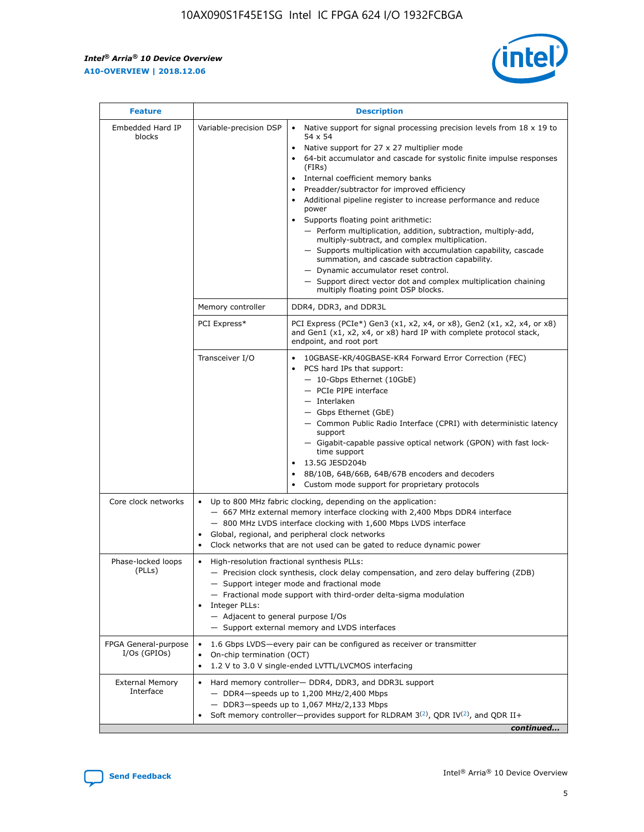$\mathbf{r}$ 



| <b>Feature</b>                         |                                                                                                        | <b>Description</b>                                                                                                                                                                                                                                                                                                                                                                                                                                                                                                                                                                                                                                                                                                                                                                                                                                                            |  |  |  |  |  |  |
|----------------------------------------|--------------------------------------------------------------------------------------------------------|-------------------------------------------------------------------------------------------------------------------------------------------------------------------------------------------------------------------------------------------------------------------------------------------------------------------------------------------------------------------------------------------------------------------------------------------------------------------------------------------------------------------------------------------------------------------------------------------------------------------------------------------------------------------------------------------------------------------------------------------------------------------------------------------------------------------------------------------------------------------------------|--|--|--|--|--|--|
| Embedded Hard IP<br>blocks             | Variable-precision DSP                                                                                 | Native support for signal processing precision levels from $18 \times 19$ to<br>$\bullet$<br>54 x 54<br>Native support for 27 x 27 multiplier mode<br>$\bullet$<br>64-bit accumulator and cascade for systolic finite impulse responses<br>$\bullet$<br>(FIRs)<br>Internal coefficient memory banks<br>$\bullet$<br>Preadder/subtractor for improved efficiency<br>Additional pipeline register to increase performance and reduce<br>power<br>Supports floating point arithmetic:<br>- Perform multiplication, addition, subtraction, multiply-add,<br>multiply-subtract, and complex multiplication.<br>- Supports multiplication with accumulation capability, cascade<br>summation, and cascade subtraction capability.<br>- Dynamic accumulator reset control.<br>- Support direct vector dot and complex multiplication chaining<br>multiply floating point DSP blocks. |  |  |  |  |  |  |
|                                        | Memory controller                                                                                      | DDR4, DDR3, and DDR3L                                                                                                                                                                                                                                                                                                                                                                                                                                                                                                                                                                                                                                                                                                                                                                                                                                                         |  |  |  |  |  |  |
|                                        | PCI Express*                                                                                           | PCI Express (PCIe*) Gen3 (x1, x2, x4, or x8), Gen2 (x1, x2, x4, or x8)<br>and Gen1 (x1, x2, x4, or x8) hard IP with complete protocol stack,<br>endpoint, and root port                                                                                                                                                                                                                                                                                                                                                                                                                                                                                                                                                                                                                                                                                                       |  |  |  |  |  |  |
|                                        | Transceiver I/O                                                                                        | 10GBASE-KR/40GBASE-KR4 Forward Error Correction (FEC)<br>PCS hard IPs that support:<br>٠<br>- 10-Gbps Ethernet (10GbE)<br>- PCIe PIPE interface<br>- Interlaken<br>- Gbps Ethernet (GbE)<br>- Common Public Radio Interface (CPRI) with deterministic latency<br>support<br>- Gigabit-capable passive optical network (GPON) with fast lock-<br>time support<br>13.5G JESD204b<br>$\bullet$<br>8B/10B, 64B/66B, 64B/67B encoders and decoders<br>$\bullet$<br>Custom mode support for proprietary protocols                                                                                                                                                                                                                                                                                                                                                                   |  |  |  |  |  |  |
| Core clock networks                    | $\bullet$                                                                                              | Up to 800 MHz fabric clocking, depending on the application:<br>- 667 MHz external memory interface clocking with 2,400 Mbps DDR4 interface<br>- 800 MHz LVDS interface clocking with 1,600 Mbps LVDS interface<br>Global, regional, and peripheral clock networks<br>Clock networks that are not used can be gated to reduce dynamic power                                                                                                                                                                                                                                                                                                                                                                                                                                                                                                                                   |  |  |  |  |  |  |
| Phase-locked loops<br>(PLLs)           | High-resolution fractional synthesis PLLs:<br>٠<br>Integer PLLs:<br>- Adjacent to general purpose I/Os | - Precision clock synthesis, clock delay compensation, and zero delay buffering (ZDB)<br>- Support integer mode and fractional mode<br>- Fractional mode support with third-order delta-sigma modulation<br>- Support external memory and LVDS interfaces                                                                                                                                                                                                                                                                                                                                                                                                                                                                                                                                                                                                                     |  |  |  |  |  |  |
| FPGA General-purpose<br>$I/Os$ (GPIOs) | On-chip termination (OCT)<br>٠                                                                         | 1.6 Gbps LVDS-every pair can be configured as receiver or transmitter                                                                                                                                                                                                                                                                                                                                                                                                                                                                                                                                                                                                                                                                                                                                                                                                         |  |  |  |  |  |  |
| <b>External Memory</b><br>Interface    | $\bullet$                                                                                              | 1.2 V to 3.0 V single-ended LVTTL/LVCMOS interfacing<br>Hard memory controller- DDR4, DDR3, and DDR3L support<br>$-$ DDR4 $-$ speeds up to 1,200 MHz/2,400 Mbps<br>- DDR3-speeds up to 1,067 MHz/2,133 Mbps<br>Soft memory controller—provides support for RLDRAM $3^{(2)}$ , QDR IV $^{(2)}$ , and QDR II+<br>continued                                                                                                                                                                                                                                                                                                                                                                                                                                                                                                                                                      |  |  |  |  |  |  |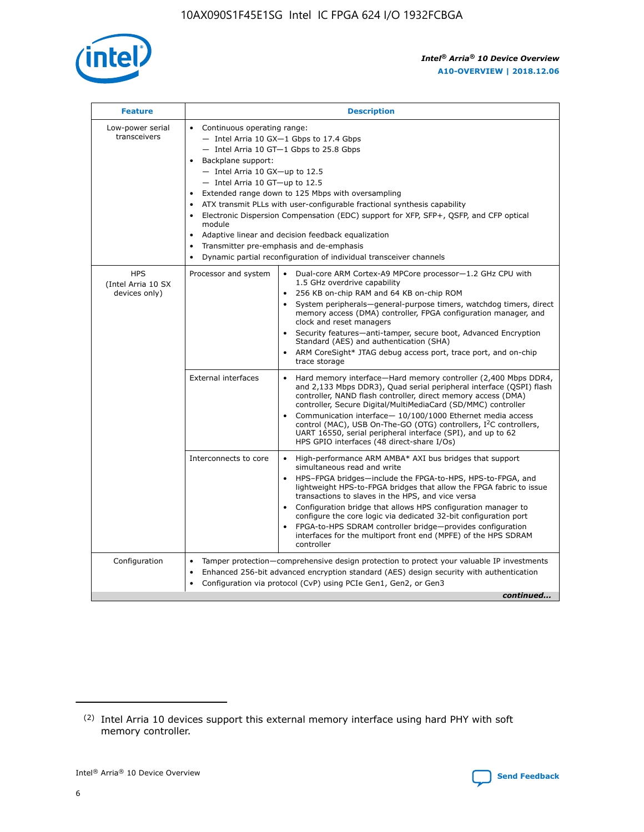

| <b>Feature</b>                                    | <b>Description</b>                                                                                                                                                                                                                                                                                                                                                                                                                                                                                                                                                                                                                                  |
|---------------------------------------------------|-----------------------------------------------------------------------------------------------------------------------------------------------------------------------------------------------------------------------------------------------------------------------------------------------------------------------------------------------------------------------------------------------------------------------------------------------------------------------------------------------------------------------------------------------------------------------------------------------------------------------------------------------------|
| Low-power serial<br>transceivers                  | • Continuous operating range:<br>- Intel Arria 10 GX-1 Gbps to 17.4 Gbps<br>- Intel Arria 10 GT-1 Gbps to 25.8 Gbps<br>Backplane support:<br>- Intel Arria 10 GX-up to 12.5<br>- Intel Arria 10 GT-up to 12.5<br>Extended range down to 125 Mbps with oversampling<br>ATX transmit PLLs with user-configurable fractional synthesis capability<br>Electronic Dispersion Compensation (EDC) support for XFP, SFP+, QSFP, and CFP optical<br>module<br>Adaptive linear and decision feedback equalization<br>$\bullet$<br>Transmitter pre-emphasis and de-emphasis<br>$\bullet$<br>Dynamic partial reconfiguration of individual transceiver channels |
| <b>HPS</b><br>(Intel Arria 10 SX<br>devices only) | Dual-core ARM Cortex-A9 MPCore processor-1.2 GHz CPU with<br>Processor and system<br>$\bullet$<br>1.5 GHz overdrive capability<br>256 KB on-chip RAM and 64 KB on-chip ROM<br>System peripherals—general-purpose timers, watchdog timers, direct<br>memory access (DMA) controller, FPGA configuration manager, and<br>clock and reset managers<br>Security features-anti-tamper, secure boot, Advanced Encryption<br>Standard (AES) and authentication (SHA)<br>ARM CoreSight* JTAG debug access port, trace port, and on-chip<br>trace storage                                                                                                    |
|                                                   | <b>External interfaces</b><br>Hard memory interface-Hard memory controller (2,400 Mbps DDR4,<br>$\bullet$<br>and 2,133 Mbps DDR3), Quad serial peripheral interface (QSPI) flash<br>controller, NAND flash controller, direct memory access (DMA)<br>controller, Secure Digital/MultiMediaCard (SD/MMC) controller<br>Communication interface-10/100/1000 Ethernet media access<br>control (MAC), USB On-The-GO (OTG) controllers, I <sup>2</sup> C controllers,<br>UART 16550, serial peripheral interface (SPI), and up to 62<br>HPS GPIO interfaces (48 direct-share I/Os)                                                                       |
|                                                   | High-performance ARM AMBA* AXI bus bridges that support<br>Interconnects to core<br>$\bullet$<br>simultaneous read and write<br>HPS-FPGA bridges-include the FPGA-to-HPS, HPS-to-FPGA, and<br>$\bullet$<br>lightweight HPS-to-FPGA bridges that allow the FPGA fabric to issue<br>transactions to slaves in the HPS, and vice versa<br>Configuration bridge that allows HPS configuration manager to<br>configure the core logic via dedicated 32-bit configuration port<br>FPGA-to-HPS SDRAM controller bridge-provides configuration<br>interfaces for the multiport front end (MPFE) of the HPS SDRAM<br>controller                              |
| Configuration                                     | Tamper protection—comprehensive design protection to protect your valuable IP investments<br>Enhanced 256-bit advanced encryption standard (AES) design security with authentication<br>٠<br>Configuration via protocol (CvP) using PCIe Gen1, Gen2, or Gen3<br>continued                                                                                                                                                                                                                                                                                                                                                                           |

<sup>(2)</sup> Intel Arria 10 devices support this external memory interface using hard PHY with soft memory controller.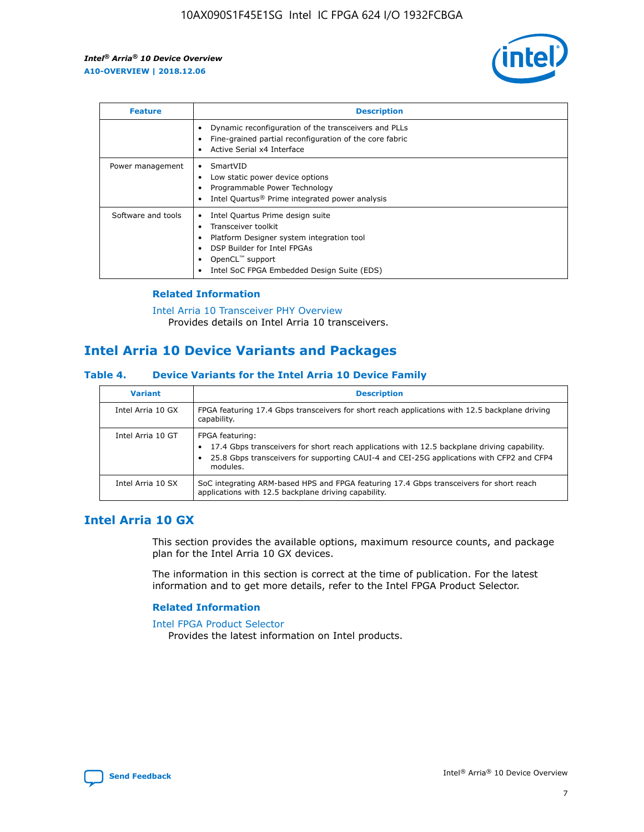

| <b>Feature</b>     | <b>Description</b>                                                                                                                                                                                               |
|--------------------|------------------------------------------------------------------------------------------------------------------------------------------------------------------------------------------------------------------|
|                    | Dynamic reconfiguration of the transceivers and PLLs<br>Fine-grained partial reconfiguration of the core fabric<br>Active Serial x4 Interface<br>$\bullet$                                                       |
| Power management   | SmartVID<br>Low static power device options<br>Programmable Power Technology<br>Intel Quartus <sup>®</sup> Prime integrated power analysis                                                                       |
| Software and tools | Intel Quartus Prime design suite<br>Transceiver toolkit<br>Platform Designer system integration tool<br>DSP Builder for Intel FPGAs<br>OpenCL <sup>™</sup> support<br>Intel SoC FPGA Embedded Design Suite (EDS) |

## **Related Information**

[Intel Arria 10 Transceiver PHY Overview](https://www.intel.com/content/www/us/en/programmable/documentation/nik1398707230472.html#nik1398706768037) Provides details on Intel Arria 10 transceivers.

# **Intel Arria 10 Device Variants and Packages**

#### **Table 4. Device Variants for the Intel Arria 10 Device Family**

| <b>Variant</b>    | <b>Description</b>                                                                                                                                                                                                     |
|-------------------|------------------------------------------------------------------------------------------------------------------------------------------------------------------------------------------------------------------------|
| Intel Arria 10 GX | FPGA featuring 17.4 Gbps transceivers for short reach applications with 12.5 backplane driving<br>capability.                                                                                                          |
| Intel Arria 10 GT | FPGA featuring:<br>17.4 Gbps transceivers for short reach applications with 12.5 backplane driving capability.<br>25.8 Gbps transceivers for supporting CAUI-4 and CEI-25G applications with CFP2 and CFP4<br>modules. |
| Intel Arria 10 SX | SoC integrating ARM-based HPS and FPGA featuring 17.4 Gbps transceivers for short reach<br>applications with 12.5 backplane driving capability.                                                                        |

# **Intel Arria 10 GX**

This section provides the available options, maximum resource counts, and package plan for the Intel Arria 10 GX devices.

The information in this section is correct at the time of publication. For the latest information and to get more details, refer to the Intel FPGA Product Selector.

### **Related Information**

#### [Intel FPGA Product Selector](http://www.altera.com/products/selector/psg-selector.html) Provides the latest information on Intel products.

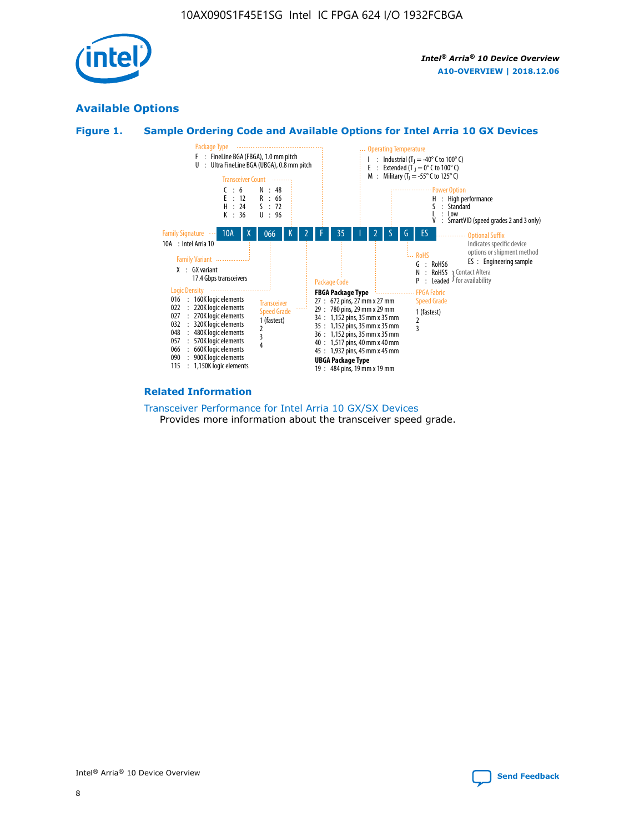

# **Available Options**





#### **Related Information**

[Transceiver Performance for Intel Arria 10 GX/SX Devices](https://www.intel.com/content/www/us/en/programmable/documentation/mcn1413182292568.html#mcn1413213965502) Provides more information about the transceiver speed grade.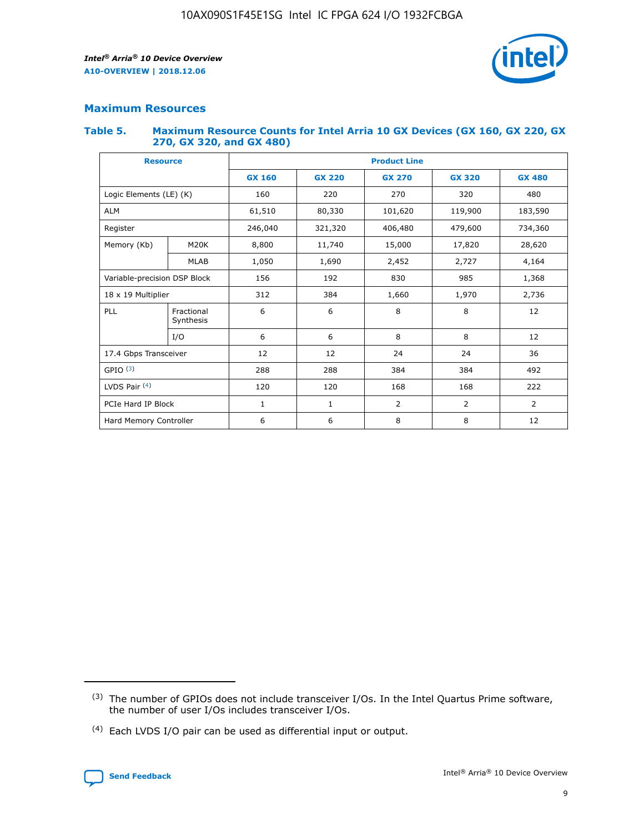

## **Maximum Resources**

#### **Table 5. Maximum Resource Counts for Intel Arria 10 GX Devices (GX 160, GX 220, GX 270, GX 320, and GX 480)**

| <b>Resource</b>         |                              | <b>Product Line</b> |                                                 |                |                |                |  |  |
|-------------------------|------------------------------|---------------------|-------------------------------------------------|----------------|----------------|----------------|--|--|
|                         |                              | <b>GX 160</b>       | <b>GX 220</b><br><b>GX 270</b><br><b>GX 320</b> |                |                | <b>GX 480</b>  |  |  |
| Logic Elements (LE) (K) |                              | 160                 | 220                                             | 270            | 320            | 480            |  |  |
| <b>ALM</b>              |                              | 61,510              | 80,330                                          | 101,620        | 119,900        | 183,590        |  |  |
| Register                |                              | 246,040             | 321,320                                         | 406,480        | 479,600        | 734,360        |  |  |
| Memory (Kb)             | M <sub>20</sub> K            | 8,800               | 11,740                                          | 15,000         | 17,820         | 28,620         |  |  |
|                         | <b>MLAB</b>                  | 1,050               | 1,690                                           | 2,452          | 2,727          | 4,164          |  |  |
|                         | Variable-precision DSP Block |                     | 192                                             | 830<br>985     |                | 1,368          |  |  |
| 18 x 19 Multiplier      |                              | 312                 | 384                                             | 1,970<br>1,660 |                | 2,736          |  |  |
| PLL                     | Fractional<br>Synthesis      | 6                   | 6                                               | 8              | 8              | 12             |  |  |
|                         | I/O                          | 6                   | 6                                               | 8              | 8              | 12             |  |  |
| 17.4 Gbps Transceiver   |                              | 12                  | 12                                              | 24             | 24             |                |  |  |
| GPIO <sup>(3)</sup>     |                              | 288                 | 288                                             | 384            | 384            | 492            |  |  |
| LVDS Pair $(4)$         |                              | 120                 | 120                                             | 168            | 168            | 222            |  |  |
| PCIe Hard IP Block      |                              | 1                   | 1                                               | 2              | $\overline{2}$ | $\overline{2}$ |  |  |
| Hard Memory Controller  |                              | 6                   | 6                                               | 8              | 8              | 12             |  |  |

<sup>(4)</sup> Each LVDS I/O pair can be used as differential input or output.



<sup>(3)</sup> The number of GPIOs does not include transceiver I/Os. In the Intel Quartus Prime software, the number of user I/Os includes transceiver I/Os.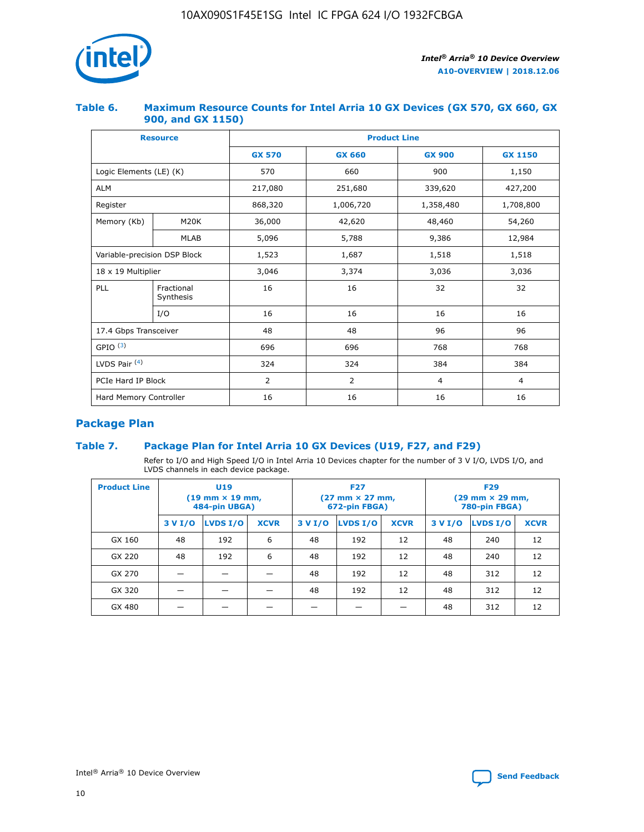

## **Table 6. Maximum Resource Counts for Intel Arria 10 GX Devices (GX 570, GX 660, GX 900, and GX 1150)**

|                              | <b>Resource</b>         | <b>Product Line</b> |                |                |                |  |  |  |
|------------------------------|-------------------------|---------------------|----------------|----------------|----------------|--|--|--|
|                              |                         | <b>GX 570</b>       | <b>GX 660</b>  |                | <b>GX 1150</b> |  |  |  |
| Logic Elements (LE) (K)      |                         | 570                 | 660            | 900            | 1,150          |  |  |  |
| <b>ALM</b>                   |                         | 217,080             | 251,680        | 339,620        | 427,200        |  |  |  |
| Register                     |                         | 868,320             | 1,006,720      | 1,358,480      | 1,708,800      |  |  |  |
| Memory (Kb)                  | <b>M20K</b>             | 36,000              | 42,620         | 48,460         | 54,260         |  |  |  |
|                              | <b>MLAB</b>             | 5,096               | 5,788          | 9,386          | 12,984         |  |  |  |
| Variable-precision DSP Block |                         | 1,523               | 1,687          | 1,518          | 1,518          |  |  |  |
| $18 \times 19$ Multiplier    |                         | 3,046               | 3,374          | 3,036          | 3,036          |  |  |  |
| PLL                          | Fractional<br>Synthesis | 16                  | 16             | 32             | 32             |  |  |  |
|                              | I/O                     | 16                  | 16             | 16             | 16             |  |  |  |
| 17.4 Gbps Transceiver        |                         | 48                  | 48             | 96             | 96             |  |  |  |
| GPIO <sup>(3)</sup>          |                         | 696                 | 696            | 768            | 768            |  |  |  |
| LVDS Pair $(4)$              |                         | 324                 | 324<br>384     |                | 384            |  |  |  |
| PCIe Hard IP Block           |                         | 2                   | $\overline{2}$ | $\overline{4}$ | 4              |  |  |  |
| Hard Memory Controller       |                         | 16                  | 16             | 16             | 16             |  |  |  |

# **Package Plan**

## **Table 7. Package Plan for Intel Arria 10 GX Devices (U19, F27, and F29)**

Refer to I/O and High Speed I/O in Intel Arria 10 Devices chapter for the number of 3 V I/O, LVDS I/O, and LVDS channels in each device package.

| <b>Product Line</b> | U <sub>19</sub><br>$(19 \text{ mm} \times 19 \text{ mm})$<br>484-pin UBGA) |          |             |         | <b>F27</b><br>(27 mm × 27 mm,<br>672-pin FBGA) |             | <b>F29</b><br>(29 mm × 29 mm,<br>780-pin FBGA) |          |             |  |
|---------------------|----------------------------------------------------------------------------|----------|-------------|---------|------------------------------------------------|-------------|------------------------------------------------|----------|-------------|--|
|                     | 3 V I/O                                                                    | LVDS I/O | <b>XCVR</b> | 3 V I/O | LVDS I/O                                       | <b>XCVR</b> | 3 V I/O                                        | LVDS I/O | <b>XCVR</b> |  |
| GX 160              | 48                                                                         | 192      | 6           | 48      | 192                                            | 12          | 48                                             | 240      | 12          |  |
| GX 220              | 48                                                                         | 192      | 6           | 48      | 192                                            | 12          | 48                                             | 240      | 12          |  |
| GX 270              |                                                                            |          |             | 48      | 192                                            | 12          | 48                                             | 312      | 12          |  |
| GX 320              |                                                                            |          |             | 48      | 192                                            | 12          | 48                                             | 312      | 12          |  |
| GX 480              |                                                                            |          |             |         |                                                |             | 48                                             | 312      | 12          |  |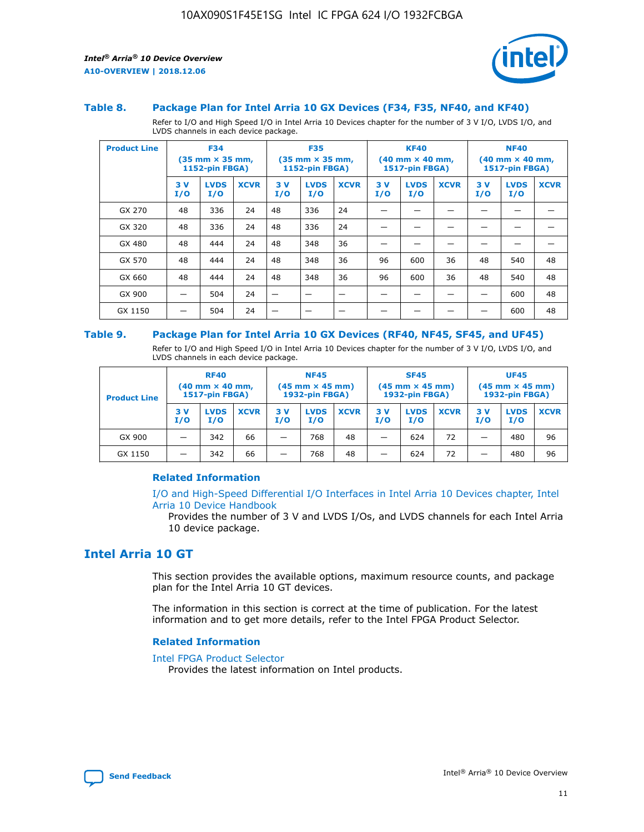

#### **Table 8. Package Plan for Intel Arria 10 GX Devices (F34, F35, NF40, and KF40)**

Refer to I/O and High Speed I/O in Intel Arria 10 Devices chapter for the number of 3 V I/O, LVDS I/O, and LVDS channels in each device package.

| <b>Product Line</b> | <b>F34</b><br>$(35 \text{ mm} \times 35 \text{ mm})$<br><b>1152-pin FBGA)</b> |                    | <b>F35</b><br>$(35 \text{ mm} \times 35 \text{ mm})$<br><b>1152-pin FBGA)</b> |           | <b>KF40</b><br>$(40$ mm $\times$ 40 mm,<br>1517-pin FBGA) |             |           | <b>NF40</b><br>$(40 \text{ mm} \times 40 \text{ mm})$<br>1517-pin FBGA) |             |           |                    |             |
|---------------------|-------------------------------------------------------------------------------|--------------------|-------------------------------------------------------------------------------|-----------|-----------------------------------------------------------|-------------|-----------|-------------------------------------------------------------------------|-------------|-----------|--------------------|-------------|
|                     | 3V<br>I/O                                                                     | <b>LVDS</b><br>I/O | <b>XCVR</b>                                                                   | 3V<br>I/O | <b>LVDS</b><br>I/O                                        | <b>XCVR</b> | 3V<br>I/O | <b>LVDS</b><br>I/O                                                      | <b>XCVR</b> | 3V<br>I/O | <b>LVDS</b><br>I/O | <b>XCVR</b> |
| GX 270              | 48                                                                            | 336                | 24                                                                            | 48        | 336                                                       | 24          |           |                                                                         |             |           |                    |             |
| GX 320              | 48                                                                            | 336                | 24                                                                            | 48        | 336                                                       | 24          |           |                                                                         |             |           |                    |             |
| GX 480              | 48                                                                            | 444                | 24                                                                            | 48        | 348                                                       | 36          |           |                                                                         |             |           |                    |             |
| GX 570              | 48                                                                            | 444                | 24                                                                            | 48        | 348                                                       | 36          | 96        | 600                                                                     | 36          | 48        | 540                | 48          |
| GX 660              | 48                                                                            | 444                | 24                                                                            | 48        | 348                                                       | 36          | 96        | 600                                                                     | 36          | 48        | 540                | 48          |
| GX 900              |                                                                               | 504                | 24                                                                            | –         |                                                           | -           |           |                                                                         |             |           | 600                | 48          |
| GX 1150             |                                                                               | 504                | 24                                                                            |           |                                                           |             |           |                                                                         |             |           | 600                | 48          |

#### **Table 9. Package Plan for Intel Arria 10 GX Devices (RF40, NF45, SF45, and UF45)**

Refer to I/O and High Speed I/O in Intel Arria 10 Devices chapter for the number of 3 V I/O, LVDS I/O, and LVDS channels in each device package.

| <b>Product Line</b> | <b>RF40</b><br>$(40$ mm $\times$ 40 mm,<br>1517-pin FBGA) |                    |             | <b>NF45</b><br>$(45 \text{ mm} \times 45 \text{ mm})$<br><b>1932-pin FBGA)</b> |                    |             | <b>SF45</b><br>$(45 \text{ mm} \times 45 \text{ mm})$<br><b>1932-pin FBGA)</b> |                    |             | <b>UF45</b><br>$(45 \text{ mm} \times 45 \text{ mm})$<br><b>1932-pin FBGA)</b> |                    |             |
|---------------------|-----------------------------------------------------------|--------------------|-------------|--------------------------------------------------------------------------------|--------------------|-------------|--------------------------------------------------------------------------------|--------------------|-------------|--------------------------------------------------------------------------------|--------------------|-------------|
|                     | 3V<br>I/O                                                 | <b>LVDS</b><br>I/O | <b>XCVR</b> | 3 V<br>I/O                                                                     | <b>LVDS</b><br>I/O | <b>XCVR</b> | 3 V<br>I/O                                                                     | <b>LVDS</b><br>I/O | <b>XCVR</b> | 3V<br>I/O                                                                      | <b>LVDS</b><br>I/O | <b>XCVR</b> |
| GX 900              |                                                           | 342                | 66          | _                                                                              | 768                | 48          |                                                                                | 624                | 72          |                                                                                | 480                | 96          |
| GX 1150             |                                                           | 342                | 66          | _                                                                              | 768                | 48          |                                                                                | 624                | 72          |                                                                                | 480                | 96          |

### **Related Information**

[I/O and High-Speed Differential I/O Interfaces in Intel Arria 10 Devices chapter, Intel](https://www.intel.com/content/www/us/en/programmable/documentation/sam1403482614086.html#sam1403482030321) [Arria 10 Device Handbook](https://www.intel.com/content/www/us/en/programmable/documentation/sam1403482614086.html#sam1403482030321)

Provides the number of 3 V and LVDS I/Os, and LVDS channels for each Intel Arria 10 device package.

# **Intel Arria 10 GT**

This section provides the available options, maximum resource counts, and package plan for the Intel Arria 10 GT devices.

The information in this section is correct at the time of publication. For the latest information and to get more details, refer to the Intel FPGA Product Selector.

#### **Related Information**

#### [Intel FPGA Product Selector](http://www.altera.com/products/selector/psg-selector.html)

Provides the latest information on Intel products.

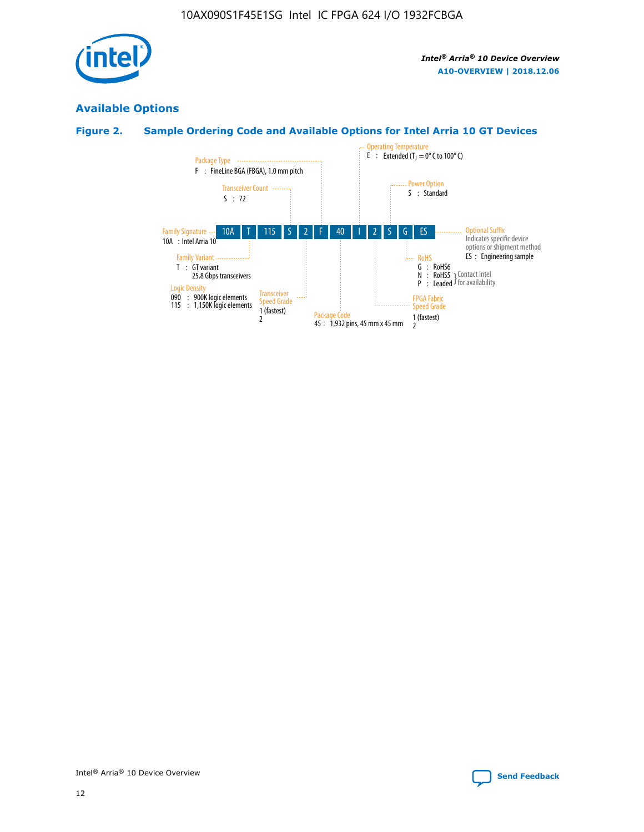

# **Available Options**

# **Figure 2. Sample Ordering Code and Available Options for Intel Arria 10 GT Devices**

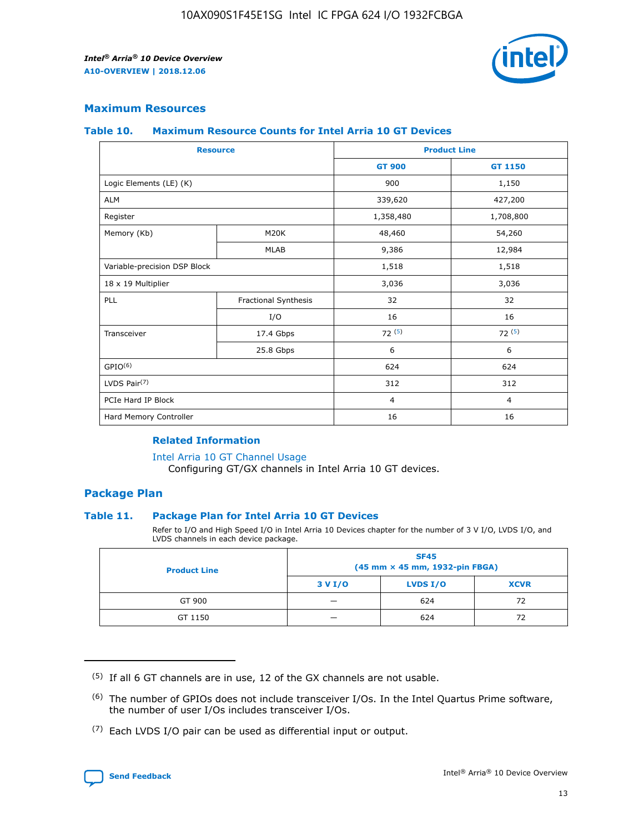

## **Maximum Resources**

#### **Table 10. Maximum Resource Counts for Intel Arria 10 GT Devices**

|                              | <b>Resource</b>      | <b>Product Line</b> |                |  |
|------------------------------|----------------------|---------------------|----------------|--|
|                              |                      | <b>GT 900</b>       | GT 1150        |  |
| Logic Elements (LE) (K)      |                      | 900                 | 1,150          |  |
| <b>ALM</b>                   |                      | 339,620             | 427,200        |  |
| Register                     |                      | 1,358,480           | 1,708,800      |  |
| Memory (Kb)                  | M20K                 | 48,460              | 54,260         |  |
|                              | <b>MLAB</b>          | 9,386               | 12,984         |  |
| Variable-precision DSP Block |                      | 1,518               | 1,518          |  |
| 18 x 19 Multiplier           |                      | 3,036               | 3,036          |  |
| <b>PLL</b>                   | Fractional Synthesis | 32                  | 32             |  |
|                              | I/O                  | 16                  | 16             |  |
| Transceiver                  | 17.4 Gbps            | 72(5)               | 72(5)          |  |
|                              | 25.8 Gbps            | 6                   | 6              |  |
| GPIO <sup>(6)</sup>          |                      | 624                 | 624            |  |
| LVDS Pair $(7)$              |                      | 312                 | 312            |  |
| PCIe Hard IP Block           |                      | $\overline{4}$      | $\overline{4}$ |  |
| Hard Memory Controller       |                      | 16                  | 16             |  |

### **Related Information**

#### [Intel Arria 10 GT Channel Usage](https://www.intel.com/content/www/us/en/programmable/documentation/nik1398707230472.html#nik1398707008178)

Configuring GT/GX channels in Intel Arria 10 GT devices.

## **Package Plan**

### **Table 11. Package Plan for Intel Arria 10 GT Devices**

Refer to I/O and High Speed I/O in Intel Arria 10 Devices chapter for the number of 3 V I/O, LVDS I/O, and LVDS channels in each device package.

| <b>Product Line</b> | <b>SF45</b><br>(45 mm × 45 mm, 1932-pin FBGA) |                 |             |  |  |  |
|---------------------|-----------------------------------------------|-----------------|-------------|--|--|--|
|                     | 3 V I/O                                       | <b>LVDS I/O</b> | <b>XCVR</b> |  |  |  |
| GT 900              |                                               | 624             | 72          |  |  |  |
| GT 1150             |                                               | 624             | 72          |  |  |  |

<sup>(7)</sup> Each LVDS I/O pair can be used as differential input or output.



 $(5)$  If all 6 GT channels are in use, 12 of the GX channels are not usable.

<sup>(6)</sup> The number of GPIOs does not include transceiver I/Os. In the Intel Quartus Prime software, the number of user I/Os includes transceiver I/Os.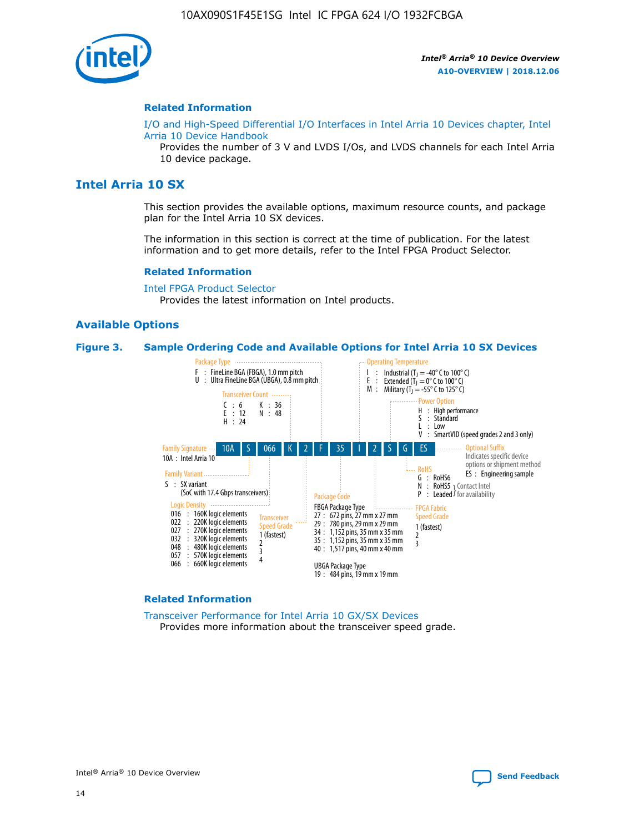

#### **Related Information**

[I/O and High-Speed Differential I/O Interfaces in Intel Arria 10 Devices chapter, Intel](https://www.intel.com/content/www/us/en/programmable/documentation/sam1403482614086.html#sam1403482030321) [Arria 10 Device Handbook](https://www.intel.com/content/www/us/en/programmable/documentation/sam1403482614086.html#sam1403482030321)

Provides the number of 3 V and LVDS I/Os, and LVDS channels for each Intel Arria 10 device package.

# **Intel Arria 10 SX**

This section provides the available options, maximum resource counts, and package plan for the Intel Arria 10 SX devices.

The information in this section is correct at the time of publication. For the latest information and to get more details, refer to the Intel FPGA Product Selector.

#### **Related Information**

[Intel FPGA Product Selector](http://www.altera.com/products/selector/psg-selector.html) Provides the latest information on Intel products.

### **Available Options**

#### **Figure 3. Sample Ordering Code and Available Options for Intel Arria 10 SX Devices**



#### **Related Information**

[Transceiver Performance for Intel Arria 10 GX/SX Devices](https://www.intel.com/content/www/us/en/programmable/documentation/mcn1413182292568.html#mcn1413213965502) Provides more information about the transceiver speed grade.

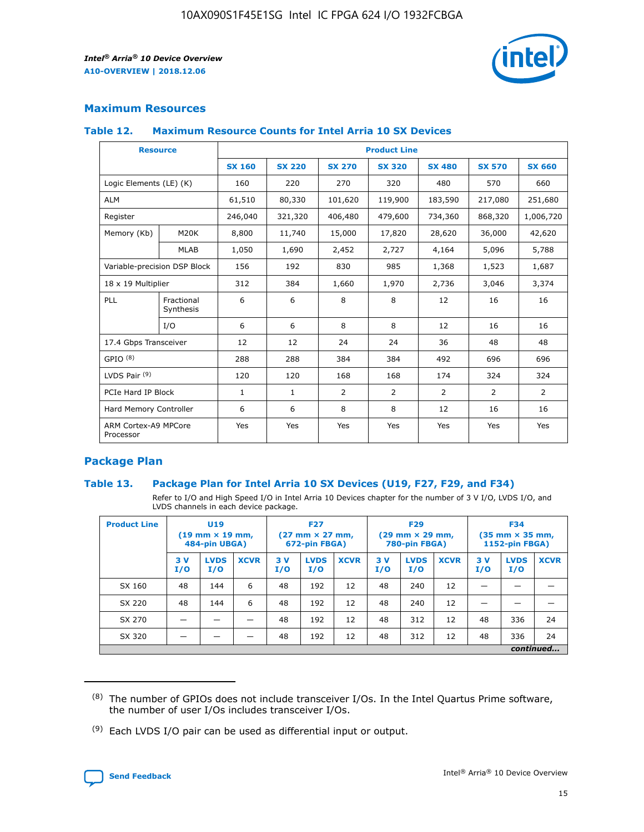

## **Maximum Resources**

### **Table 12. Maximum Resource Counts for Intel Arria 10 SX Devices**

|                                   | <b>Resource</b>         | <b>Product Line</b> |               |                |                |                |                |                |  |  |  |
|-----------------------------------|-------------------------|---------------------|---------------|----------------|----------------|----------------|----------------|----------------|--|--|--|
|                                   |                         | <b>SX 160</b>       | <b>SX 220</b> | <b>SX 270</b>  | <b>SX 320</b>  | <b>SX 480</b>  | <b>SX 570</b>  | <b>SX 660</b>  |  |  |  |
| Logic Elements (LE) (K)           |                         | 160                 | 220           | 270            | 320            | 480            | 570            | 660            |  |  |  |
| <b>ALM</b>                        |                         | 61,510              | 80,330        | 101,620        | 119,900        | 183,590        | 217,080        | 251,680        |  |  |  |
| Register                          |                         | 246,040             | 321,320       | 406,480        | 479,600        | 734,360        | 868,320        | 1,006,720      |  |  |  |
| Memory (Kb)                       | M <sub>20</sub> K       | 8,800               | 11,740        | 15,000         | 17,820         | 28,620         | 36,000         | 42,620         |  |  |  |
|                                   | <b>MLAB</b>             | 1,050               | 1,690         | 2,452          | 2,727          | 4,164          | 5,096          | 5,788          |  |  |  |
| Variable-precision DSP Block      |                         | 156                 | 192           | 830            | 985            | 1,368          | 1,523          | 1,687          |  |  |  |
| 18 x 19 Multiplier                |                         | 312                 | 384           | 1,660          | 1,970          | 2,736          | 3,046          | 3,374          |  |  |  |
| <b>PLL</b>                        | Fractional<br>Synthesis | 6                   | 6             | 8              | 8              | 12             | 16             | 16             |  |  |  |
|                                   | I/O                     | 6                   | 6             | 8              | 8              | 12             | 16             | 16             |  |  |  |
| 17.4 Gbps Transceiver             |                         | 12                  | 12            | 24             | 24             | 36             | 48             | 48             |  |  |  |
| GPIO <sup>(8)</sup>               |                         | 288                 | 288           | 384            | 384            | 492            | 696            | 696            |  |  |  |
| LVDS Pair $(9)$                   |                         | 120                 | 120           | 168            | 168            | 174            | 324            | 324            |  |  |  |
| PCIe Hard IP Block                |                         | $\mathbf{1}$        | $\mathbf{1}$  | $\overline{2}$ | $\overline{2}$ | $\overline{2}$ | $\overline{2}$ | $\overline{2}$ |  |  |  |
| Hard Memory Controller            |                         | 6                   | 6             | 8              | 8              | 12             | 16             | 16             |  |  |  |
| ARM Cortex-A9 MPCore<br>Processor |                         | Yes                 | Yes           | Yes            | Yes            | Yes            | Yes            | Yes            |  |  |  |

## **Package Plan**

### **Table 13. Package Plan for Intel Arria 10 SX Devices (U19, F27, F29, and F34)**

Refer to I/O and High Speed I/O in Intel Arria 10 Devices chapter for the number of 3 V I/O, LVDS I/O, and LVDS channels in each device package.

| <b>Product Line</b> | U <sub>19</sub><br>$(19 \text{ mm} \times 19 \text{ mm})$<br>484-pin UBGA) |                    |             | <b>F27</b><br>$(27 \text{ mm} \times 27 \text{ mm})$ .<br>672-pin FBGA) |                    | <b>F29</b><br>$(29 \text{ mm} \times 29 \text{ mm})$ .<br>780-pin FBGA) |            |                    | <b>F34</b><br>$(35 \text{ mm} \times 35 \text{ mm})$<br><b>1152-pin FBGA)</b> |           |                    |             |
|---------------------|----------------------------------------------------------------------------|--------------------|-------------|-------------------------------------------------------------------------|--------------------|-------------------------------------------------------------------------|------------|--------------------|-------------------------------------------------------------------------------|-----------|--------------------|-------------|
|                     | 3V<br>I/O                                                                  | <b>LVDS</b><br>I/O | <b>XCVR</b> | 3V<br>I/O                                                               | <b>LVDS</b><br>I/O | <b>XCVR</b>                                                             | 3 V<br>I/O | <b>LVDS</b><br>I/O | <b>XCVR</b>                                                                   | 3V<br>I/O | <b>LVDS</b><br>I/O | <b>XCVR</b> |
| SX 160              | 48                                                                         | 144                | 6           | 48                                                                      | 192                | 12                                                                      | 48         | 240                | 12                                                                            |           |                    |             |
| SX 220              | 48                                                                         | 144                | 6           | 48                                                                      | 192                | 12                                                                      | 48         | 240                | 12                                                                            |           |                    |             |
| SX 270              |                                                                            |                    |             | 48                                                                      | 192                | 12                                                                      | 48         | 312                | 12                                                                            | 48        | 336                | 24          |
| SX 320              |                                                                            |                    |             | 48                                                                      | 192                | 12                                                                      | 48         | 312                | 12                                                                            | 48        | 336                | 24          |
|                     | continued                                                                  |                    |             |                                                                         |                    |                                                                         |            |                    |                                                                               |           |                    |             |

 $(8)$  The number of GPIOs does not include transceiver I/Os. In the Intel Quartus Prime software, the number of user I/Os includes transceiver I/Os.

 $(9)$  Each LVDS I/O pair can be used as differential input or output.

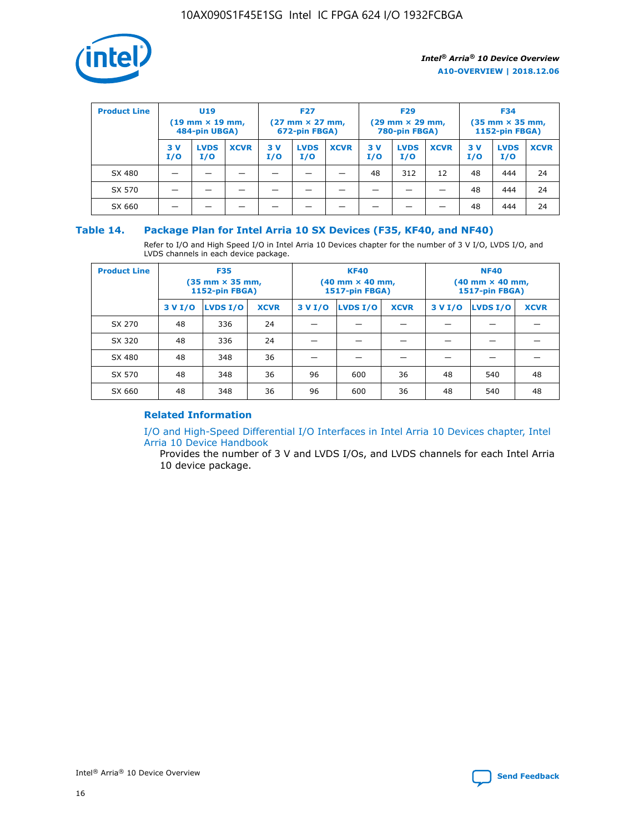

| <b>Product Line</b> | U <sub>19</sub><br>$(19 \text{ mm} \times 19 \text{ mm})$<br>484-pin UBGA) |                    | <b>F27</b><br>$(27 \text{ mm} \times 27 \text{ mm})$<br>672-pin FBGA) |           |                    | <b>F29</b><br>$(29 \text{ mm} \times 29 \text{ mm})$<br>780-pin FBGA) |           |                    | <b>F34</b><br>$(35$ mm $\times$ 35 mm,<br><b>1152-pin FBGA)</b> |           |                    |             |
|---------------------|----------------------------------------------------------------------------|--------------------|-----------------------------------------------------------------------|-----------|--------------------|-----------------------------------------------------------------------|-----------|--------------------|-----------------------------------------------------------------|-----------|--------------------|-------------|
|                     | 3V<br>I/O                                                                  | <b>LVDS</b><br>I/O | <b>XCVR</b>                                                           | 3V<br>I/O | <b>LVDS</b><br>I/O | <b>XCVR</b>                                                           | 3V<br>I/O | <b>LVDS</b><br>I/O | <b>XCVR</b>                                                     | 3V<br>I/O | <b>LVDS</b><br>I/O | <b>XCVR</b> |
| SX 480              |                                                                            |                    |                                                                       |           |                    |                                                                       | 48        | 312                | 12                                                              | 48        | 444                | 24          |
| SX 570              |                                                                            |                    |                                                                       |           |                    |                                                                       |           |                    |                                                                 | 48        | 444                | 24          |
| SX 660              |                                                                            |                    |                                                                       |           |                    |                                                                       |           |                    |                                                                 | 48        | 444                | 24          |

## **Table 14. Package Plan for Intel Arria 10 SX Devices (F35, KF40, and NF40)**

Refer to I/O and High Speed I/O in Intel Arria 10 Devices chapter for the number of 3 V I/O, LVDS I/O, and LVDS channels in each device package.

| <b>Product Line</b> | <b>F35</b><br>(35 mm × 35 mm,<br><b>1152-pin FBGA)</b> |          |             |                                           | <b>KF40</b><br>(40 mm × 40 mm,<br>1517-pin FBGA) |    | <b>NF40</b><br>$(40 \text{ mm} \times 40 \text{ mm})$<br>1517-pin FBGA) |          |             |  |
|---------------------|--------------------------------------------------------|----------|-------------|-------------------------------------------|--------------------------------------------------|----|-------------------------------------------------------------------------|----------|-------------|--|
|                     | 3 V I/O                                                | LVDS I/O | <b>XCVR</b> | <b>LVDS I/O</b><br>3 V I/O<br><b>XCVR</b> |                                                  |    | 3 V I/O                                                                 | LVDS I/O | <b>XCVR</b> |  |
| SX 270              | 48                                                     | 336      | 24          |                                           |                                                  |    |                                                                         |          |             |  |
| SX 320              | 48                                                     | 336      | 24          |                                           |                                                  |    |                                                                         |          |             |  |
| SX 480              | 48                                                     | 348      | 36          |                                           |                                                  |    |                                                                         |          |             |  |
| SX 570              | 48                                                     | 348      | 36          | 96                                        | 600                                              | 36 | 48                                                                      | 540      | 48          |  |
| SX 660              | 48                                                     | 348      | 36          | 96                                        | 600                                              | 36 | 48                                                                      | 540      | 48          |  |

# **Related Information**

[I/O and High-Speed Differential I/O Interfaces in Intel Arria 10 Devices chapter, Intel](https://www.intel.com/content/www/us/en/programmable/documentation/sam1403482614086.html#sam1403482030321) [Arria 10 Device Handbook](https://www.intel.com/content/www/us/en/programmable/documentation/sam1403482614086.html#sam1403482030321)

Provides the number of 3 V and LVDS I/Os, and LVDS channels for each Intel Arria 10 device package.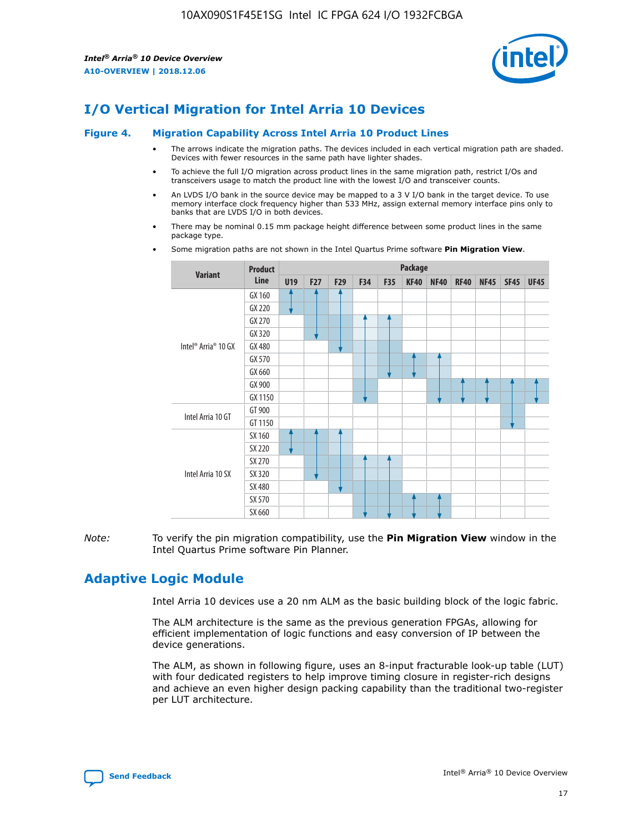

# **I/O Vertical Migration for Intel Arria 10 Devices**

#### **Figure 4. Migration Capability Across Intel Arria 10 Product Lines**

- The arrows indicate the migration paths. The devices included in each vertical migration path are shaded. Devices with fewer resources in the same path have lighter shades.
- To achieve the full I/O migration across product lines in the same migration path, restrict I/Os and transceivers usage to match the product line with the lowest I/O and transceiver counts.
- An LVDS I/O bank in the source device may be mapped to a 3 V I/O bank in the target device. To use memory interface clock frequency higher than 533 MHz, assign external memory interface pins only to banks that are LVDS I/O in both devices.
- There may be nominal 0.15 mm package height difference between some product lines in the same package type.
	- **Variant Product Line Package U19 F27 F29 F34 F35 KF40 NF40 RF40 NF45 SF45 UF45** Intel® Arria® 10 GX GX 160 GX 220 GX 270 GX 320 GX 480 GX 570 GX 660 GX 900 GX 1150 Intel Arria 10 GT GT 900 GT 1150 Intel Arria 10 SX SX 160 SX 220 SX 270 SX 320 SX 480 SX 570 SX 660
- Some migration paths are not shown in the Intel Quartus Prime software **Pin Migration View**.

*Note:* To verify the pin migration compatibility, use the **Pin Migration View** window in the Intel Quartus Prime software Pin Planner.

# **Adaptive Logic Module**

Intel Arria 10 devices use a 20 nm ALM as the basic building block of the logic fabric.

The ALM architecture is the same as the previous generation FPGAs, allowing for efficient implementation of logic functions and easy conversion of IP between the device generations.

The ALM, as shown in following figure, uses an 8-input fracturable look-up table (LUT) with four dedicated registers to help improve timing closure in register-rich designs and achieve an even higher design packing capability than the traditional two-register per LUT architecture.

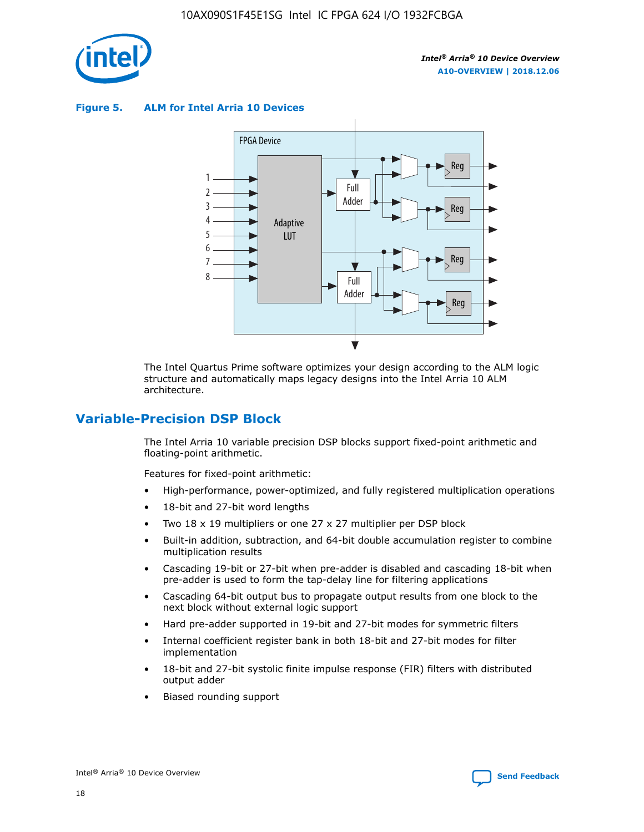

**Figure 5. ALM for Intel Arria 10 Devices**



The Intel Quartus Prime software optimizes your design according to the ALM logic structure and automatically maps legacy designs into the Intel Arria 10 ALM architecture.

# **Variable-Precision DSP Block**

The Intel Arria 10 variable precision DSP blocks support fixed-point arithmetic and floating-point arithmetic.

Features for fixed-point arithmetic:

- High-performance, power-optimized, and fully registered multiplication operations
- 18-bit and 27-bit word lengths
- Two 18 x 19 multipliers or one 27 x 27 multiplier per DSP block
- Built-in addition, subtraction, and 64-bit double accumulation register to combine multiplication results
- Cascading 19-bit or 27-bit when pre-adder is disabled and cascading 18-bit when pre-adder is used to form the tap-delay line for filtering applications
- Cascading 64-bit output bus to propagate output results from one block to the next block without external logic support
- Hard pre-adder supported in 19-bit and 27-bit modes for symmetric filters
- Internal coefficient register bank in both 18-bit and 27-bit modes for filter implementation
- 18-bit and 27-bit systolic finite impulse response (FIR) filters with distributed output adder
- Biased rounding support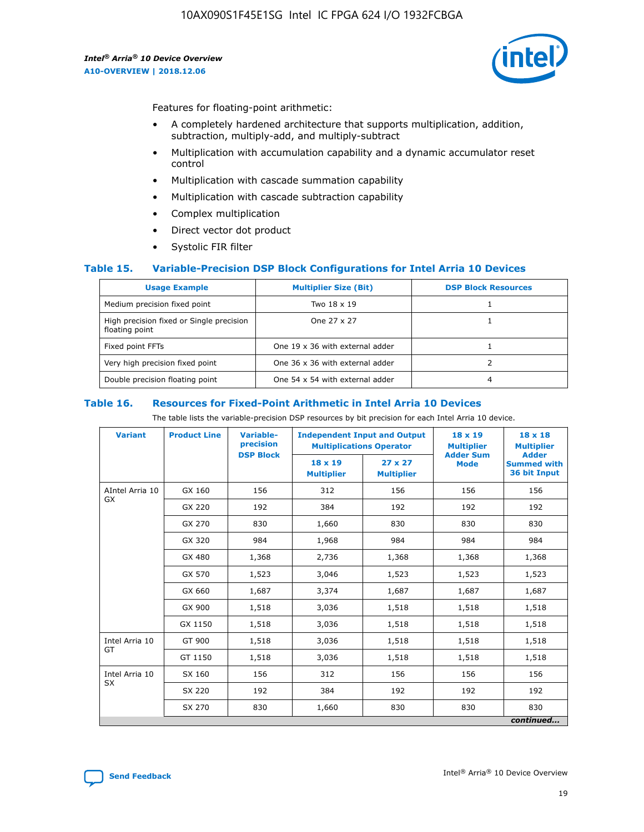

Features for floating-point arithmetic:

- A completely hardened architecture that supports multiplication, addition, subtraction, multiply-add, and multiply-subtract
- Multiplication with accumulation capability and a dynamic accumulator reset control
- Multiplication with cascade summation capability
- Multiplication with cascade subtraction capability
- Complex multiplication
- Direct vector dot product
- Systolic FIR filter

### **Table 15. Variable-Precision DSP Block Configurations for Intel Arria 10 Devices**

| <b>Usage Example</b>                                       | <b>Multiplier Size (Bit)</b>    | <b>DSP Block Resources</b> |
|------------------------------------------------------------|---------------------------------|----------------------------|
| Medium precision fixed point                               | Two 18 x 19                     |                            |
| High precision fixed or Single precision<br>floating point | One 27 x 27                     |                            |
| Fixed point FFTs                                           | One 19 x 36 with external adder |                            |
| Very high precision fixed point                            | One 36 x 36 with external adder |                            |
| Double precision floating point                            | One 54 x 54 with external adder | 4                          |

#### **Table 16. Resources for Fixed-Point Arithmetic in Intel Arria 10 Devices**

The table lists the variable-precision DSP resources by bit precision for each Intel Arria 10 device.

| <b>Variant</b>        | <b>Product Line</b> | <b>Variable-</b><br>precision<br><b>DSP Block</b> | <b>Independent Input and Output</b><br><b>Multiplications Operator</b> |                                     | 18 x 19<br><b>Multiplier</b><br><b>Adder Sum</b> | $18 \times 18$<br><b>Multiplier</b><br><b>Adder</b> |
|-----------------------|---------------------|---------------------------------------------------|------------------------------------------------------------------------|-------------------------------------|--------------------------------------------------|-----------------------------------------------------|
|                       |                     |                                                   | 18 x 19<br><b>Multiplier</b>                                           | $27 \times 27$<br><b>Multiplier</b> | <b>Mode</b>                                      | <b>Summed with</b><br>36 bit Input                  |
| AIntel Arria 10<br>GX | GX 160              | 156                                               | 312                                                                    | 156                                 | 156                                              | 156                                                 |
|                       | GX 220              | 192                                               | 384                                                                    | 192                                 | 192                                              | 192                                                 |
|                       | GX 270              | 830                                               | 1,660                                                                  | 830                                 | 830                                              | 830                                                 |
|                       | GX 320              | 984                                               | 1,968                                                                  | 984                                 | 984                                              | 984                                                 |
|                       | GX 480              | 1,368                                             | 2,736                                                                  | 1,368                               | 1,368                                            | 1,368                                               |
|                       | GX 570              | 1,523                                             | 3,046                                                                  | 1,523                               | 1,523                                            | 1,523                                               |
|                       | GX 660              | 1,687                                             | 3,374                                                                  | 1,687                               | 1,687                                            | 1,687                                               |
|                       | GX 900              | 1,518                                             | 3,036                                                                  | 1,518                               | 1,518                                            | 1,518                                               |
|                       | GX 1150             | 1,518                                             | 3,036                                                                  | 1,518                               | 1,518                                            | 1,518                                               |
| Intel Arria 10        | GT 900              | 1,518                                             | 3,036                                                                  | 1,518                               | 1,518                                            | 1,518                                               |
| GT                    | GT 1150             | 1,518                                             | 3,036                                                                  | 1,518                               | 1,518                                            | 1,518                                               |
| Intel Arria 10        | SX 160              | 156                                               | 312                                                                    | 156                                 | 156                                              | 156                                                 |
| <b>SX</b>             | SX 220              | 192                                               | 384                                                                    | 192                                 | 192                                              | 192                                                 |
|                       | SX 270              | 830                                               | 830<br>1,660                                                           |                                     | 830                                              | 830                                                 |
|                       |                     |                                                   |                                                                        |                                     |                                                  | continued                                           |

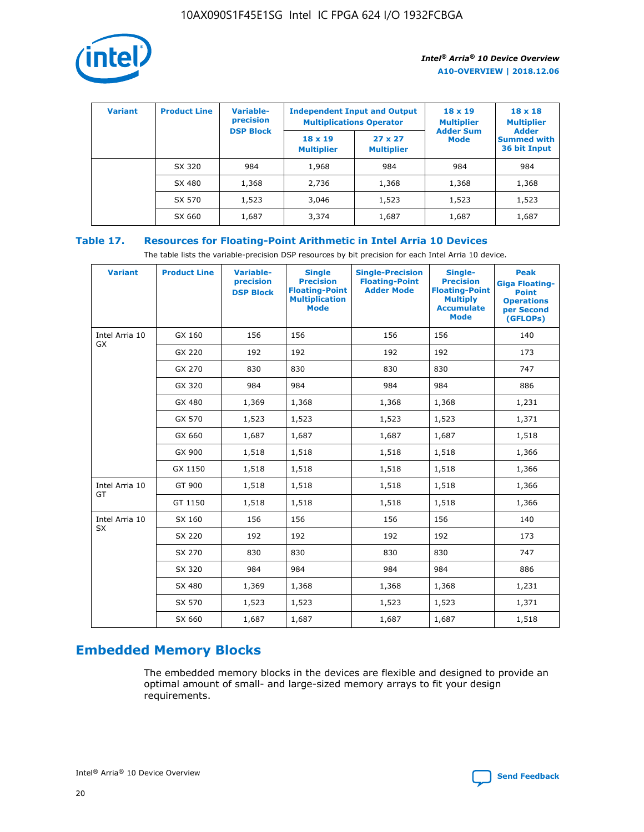

| <b>Variant</b> | <b>Product Line</b> | <b>Variable-</b><br>precision<br><b>DSP Block</b> | <b>Independent Input and Output</b><br><b>Multiplications Operator</b> |                                     | $18 \times 19$<br><b>Multiplier</b><br><b>Adder Sum</b> | $18 \times 18$<br><b>Multiplier</b><br><b>Adder</b> |  |
|----------------|---------------------|---------------------------------------------------|------------------------------------------------------------------------|-------------------------------------|---------------------------------------------------------|-----------------------------------------------------|--|
|                |                     |                                                   | $18 \times 19$<br><b>Multiplier</b>                                    | $27 \times 27$<br><b>Multiplier</b> | <b>Mode</b>                                             | <b>Summed with</b><br>36 bit Input                  |  |
|                | SX 320              | 984                                               | 1,968                                                                  | 984                                 | 984                                                     | 984                                                 |  |
|                | SX 480              | 1,368                                             | 2,736                                                                  | 1,368                               | 1,368                                                   | 1,368                                               |  |
|                | SX 570              | 1,523                                             | 3,046                                                                  | 1,523                               | 1,523                                                   | 1,523                                               |  |
|                | SX 660              | 1,687                                             | 3,374                                                                  | 1,687                               | 1,687                                                   | 1,687                                               |  |

# **Table 17. Resources for Floating-Point Arithmetic in Intel Arria 10 Devices**

The table lists the variable-precision DSP resources by bit precision for each Intel Arria 10 device.

| <b>Variant</b>              | <b>Product Line</b> | <b>Variable-</b><br>precision<br><b>DSP Block</b> | <b>Single</b><br><b>Precision</b><br><b>Floating-Point</b><br><b>Multiplication</b><br><b>Mode</b> | <b>Single-Precision</b><br><b>Floating-Point</b><br><b>Adder Mode</b> | Single-<br><b>Precision</b><br><b>Floating-Point</b><br><b>Multiply</b><br><b>Accumulate</b><br><b>Mode</b> | <b>Peak</b><br><b>Giga Floating-</b><br><b>Point</b><br><b>Operations</b><br>per Second<br>(GFLOPs) |
|-----------------------------|---------------------|---------------------------------------------------|----------------------------------------------------------------------------------------------------|-----------------------------------------------------------------------|-------------------------------------------------------------------------------------------------------------|-----------------------------------------------------------------------------------------------------|
| Intel Arria 10<br>GX        | GX 160              | 156                                               | 156                                                                                                | 156                                                                   | 156                                                                                                         | 140                                                                                                 |
|                             | GX 220              | 192                                               | 192                                                                                                | 192                                                                   | 192                                                                                                         | 173                                                                                                 |
|                             | GX 270              | 830                                               | 830                                                                                                | 830                                                                   | 830                                                                                                         | 747                                                                                                 |
|                             | GX 320              | 984                                               | 984                                                                                                | 984                                                                   | 984                                                                                                         | 886                                                                                                 |
|                             | GX 480              | 1,369                                             | 1,368                                                                                              | 1,368                                                                 | 1,368                                                                                                       | 1,231                                                                                               |
|                             | GX 570              | 1,523                                             | 1,523                                                                                              | 1,523                                                                 | 1,523                                                                                                       | 1,371                                                                                               |
|                             | GX 660              | 1,687                                             | 1,687                                                                                              | 1,687                                                                 | 1,687                                                                                                       | 1,518                                                                                               |
|                             | GX 900              | 1,518                                             | 1,518                                                                                              | 1,518                                                                 | 1,518                                                                                                       | 1,366                                                                                               |
|                             | GX 1150             | 1,518                                             | 1,518                                                                                              | 1,518                                                                 | 1,518                                                                                                       | 1,366                                                                                               |
| Intel Arria 10              | GT 900              | 1,518                                             | 1,518                                                                                              | 1,518                                                                 | 1,518                                                                                                       | 1,366                                                                                               |
| GT                          | GT 1150             | 1,518                                             | 1,518                                                                                              | 1,518                                                                 | 1,518                                                                                                       | 1,366                                                                                               |
| Intel Arria 10<br><b>SX</b> | SX 160              | 156                                               | 156                                                                                                | 156                                                                   | 156                                                                                                         | 140                                                                                                 |
|                             | SX 220              | 192                                               | 192                                                                                                | 192                                                                   | 192                                                                                                         | 173                                                                                                 |
|                             | SX 270              | 830                                               | 830                                                                                                | 830                                                                   | 830                                                                                                         | 747                                                                                                 |
|                             | SX 320              | 984                                               | 984                                                                                                | 984                                                                   | 984                                                                                                         | 886                                                                                                 |
|                             | SX 480              | 1,369                                             | 1,368                                                                                              | 1,368                                                                 | 1,368                                                                                                       | 1,231                                                                                               |
|                             | SX 570              | 1,523                                             | 1,523                                                                                              | 1,523                                                                 | 1,523                                                                                                       | 1,371                                                                                               |
|                             | SX 660              | 1,687                                             | 1,687                                                                                              | 1,687                                                                 | 1,687                                                                                                       | 1,518                                                                                               |

# **Embedded Memory Blocks**

The embedded memory blocks in the devices are flexible and designed to provide an optimal amount of small- and large-sized memory arrays to fit your design requirements.

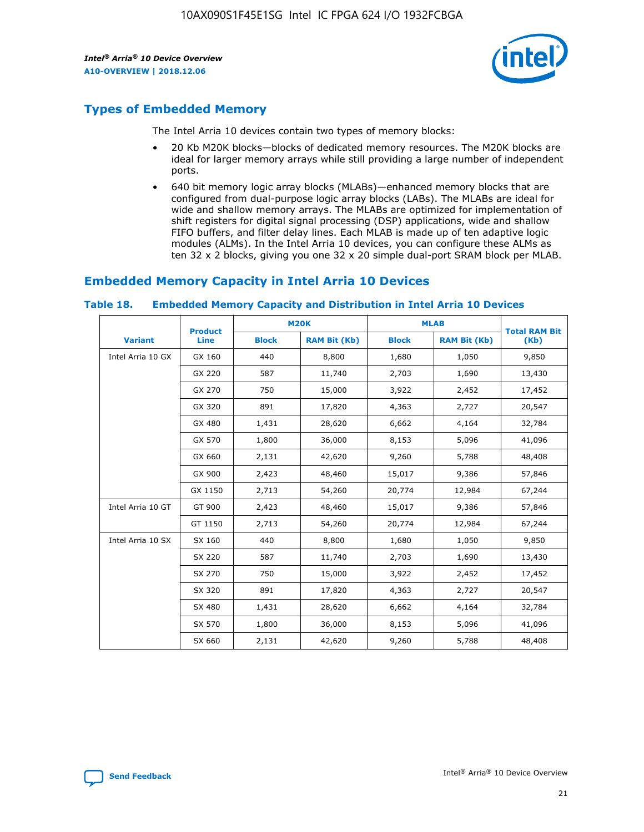

# **Types of Embedded Memory**

The Intel Arria 10 devices contain two types of memory blocks:

- 20 Kb M20K blocks—blocks of dedicated memory resources. The M20K blocks are ideal for larger memory arrays while still providing a large number of independent ports.
- 640 bit memory logic array blocks (MLABs)—enhanced memory blocks that are configured from dual-purpose logic array blocks (LABs). The MLABs are ideal for wide and shallow memory arrays. The MLABs are optimized for implementation of shift registers for digital signal processing (DSP) applications, wide and shallow FIFO buffers, and filter delay lines. Each MLAB is made up of ten adaptive logic modules (ALMs). In the Intel Arria 10 devices, you can configure these ALMs as ten 32 x 2 blocks, giving you one 32 x 20 simple dual-port SRAM block per MLAB.

# **Embedded Memory Capacity in Intel Arria 10 Devices**

|                   | <b>Product</b> |              | <b>M20K</b>         | <b>MLAB</b>  |                     | <b>Total RAM Bit</b> |
|-------------------|----------------|--------------|---------------------|--------------|---------------------|----------------------|
| <b>Variant</b>    | Line           | <b>Block</b> | <b>RAM Bit (Kb)</b> | <b>Block</b> | <b>RAM Bit (Kb)</b> | (Kb)                 |
| Intel Arria 10 GX | GX 160         | 440          | 8,800               | 1,680        | 1,050               | 9,850                |
|                   | GX 220         | 587          | 11,740              | 2,703        | 1,690               | 13,430               |
|                   | GX 270         | 750          | 15,000              | 3,922        | 2,452               | 17,452               |
|                   | GX 320         | 891          | 17,820              | 4,363        | 2,727               | 20,547               |
|                   | GX 480         | 1,431        | 28,620              | 6,662        | 4,164               | 32,784               |
|                   | GX 570         | 1,800        | 36,000              | 8,153        | 5,096               | 41,096               |
|                   | GX 660         | 2,131        | 42,620              | 9,260        | 5,788               | 48,408               |
|                   | GX 900         | 2,423        | 48,460              | 15,017       | 9,386               | 57,846               |
|                   | GX 1150        | 2,713        | 54,260              | 20,774       | 12,984              | 67,244               |
| Intel Arria 10 GT | GT 900         | 2,423        | 48,460              | 15,017       | 9,386               | 57,846               |
|                   | GT 1150        | 2,713        | 54,260              | 20,774       | 12,984              | 67,244               |
| Intel Arria 10 SX | SX 160         | 440          | 8,800               | 1,680        | 1,050               | 9,850                |
|                   | SX 220         | 587          | 11,740              | 2,703        | 1,690               | 13,430               |
|                   | SX 270         | 750          | 15,000              | 3,922        | 2,452               | 17,452               |
|                   | SX 320         | 891          | 17,820              | 4,363        | 2,727               | 20,547               |
|                   | SX 480         | 1,431        | 28,620              | 6,662        | 4,164               | 32,784               |
|                   | SX 570         | 1,800        | 36,000              | 8,153        | 5,096               | 41,096               |
|                   | SX 660         | 2,131        | 42,620              | 9,260        | 5,788               | 48,408               |

#### **Table 18. Embedded Memory Capacity and Distribution in Intel Arria 10 Devices**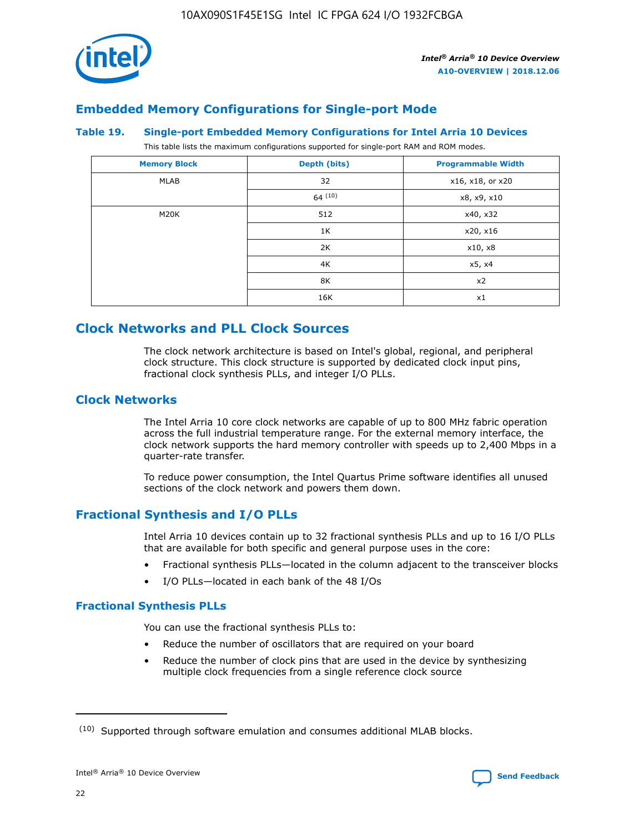

# **Embedded Memory Configurations for Single-port Mode**

#### **Table 19. Single-port Embedded Memory Configurations for Intel Arria 10 Devices**

This table lists the maximum configurations supported for single-port RAM and ROM modes.

| <b>Memory Block</b> | Depth (bits) | <b>Programmable Width</b> |
|---------------------|--------------|---------------------------|
| MLAB                | 32           | x16, x18, or x20          |
|                     | 64(10)       | x8, x9, x10               |
| M20K                | 512          | x40, x32                  |
|                     | 1K           | x20, x16                  |
|                     | 2K           | x10, x8                   |
|                     | 4K           | x5, x4                    |
|                     | 8K           | x2                        |
|                     | 16K          | x1                        |

# **Clock Networks and PLL Clock Sources**

The clock network architecture is based on Intel's global, regional, and peripheral clock structure. This clock structure is supported by dedicated clock input pins, fractional clock synthesis PLLs, and integer I/O PLLs.

# **Clock Networks**

The Intel Arria 10 core clock networks are capable of up to 800 MHz fabric operation across the full industrial temperature range. For the external memory interface, the clock network supports the hard memory controller with speeds up to 2,400 Mbps in a quarter-rate transfer.

To reduce power consumption, the Intel Quartus Prime software identifies all unused sections of the clock network and powers them down.

# **Fractional Synthesis and I/O PLLs**

Intel Arria 10 devices contain up to 32 fractional synthesis PLLs and up to 16 I/O PLLs that are available for both specific and general purpose uses in the core:

- Fractional synthesis PLLs—located in the column adjacent to the transceiver blocks
- I/O PLLs—located in each bank of the 48 I/Os

## **Fractional Synthesis PLLs**

You can use the fractional synthesis PLLs to:

- Reduce the number of oscillators that are required on your board
- Reduce the number of clock pins that are used in the device by synthesizing multiple clock frequencies from a single reference clock source

<sup>(10)</sup> Supported through software emulation and consumes additional MLAB blocks.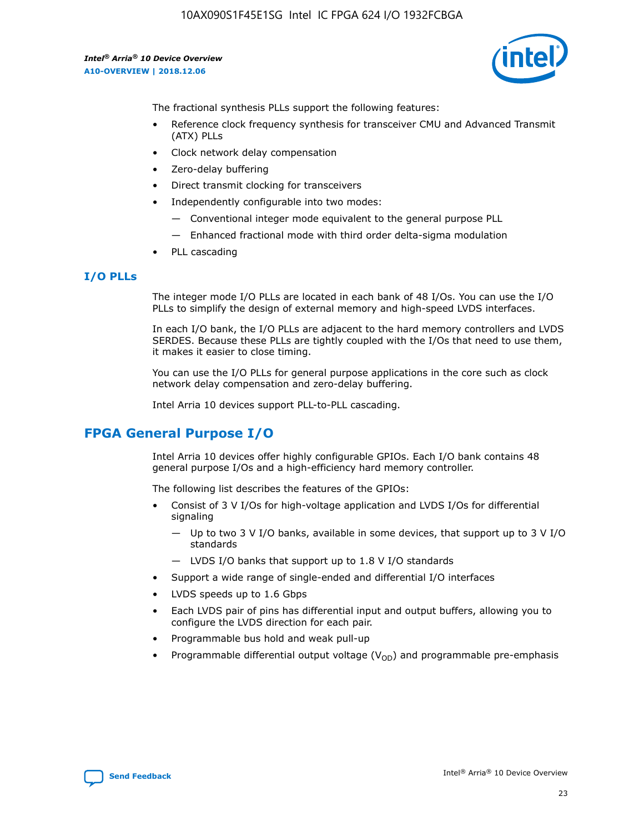10AX090S1F45E1SG Intel IC FPGA 624 I/O 1932FCBGA

*Intel® Arria® 10 Device Overview* **A10-OVERVIEW | 2018.12.06**



The fractional synthesis PLLs support the following features:

- Reference clock frequency synthesis for transceiver CMU and Advanced Transmit (ATX) PLLs
- Clock network delay compensation
- Zero-delay buffering
- Direct transmit clocking for transceivers
- Independently configurable into two modes:
	- Conventional integer mode equivalent to the general purpose PLL
	- Enhanced fractional mode with third order delta-sigma modulation
- PLL cascading

## **I/O PLLs**

The integer mode I/O PLLs are located in each bank of 48 I/Os. You can use the I/O PLLs to simplify the design of external memory and high-speed LVDS interfaces.

In each I/O bank, the I/O PLLs are adjacent to the hard memory controllers and LVDS SERDES. Because these PLLs are tightly coupled with the I/Os that need to use them, it makes it easier to close timing.

You can use the I/O PLLs for general purpose applications in the core such as clock network delay compensation and zero-delay buffering.

Intel Arria 10 devices support PLL-to-PLL cascading.

# **FPGA General Purpose I/O**

Intel Arria 10 devices offer highly configurable GPIOs. Each I/O bank contains 48 general purpose I/Os and a high-efficiency hard memory controller.

The following list describes the features of the GPIOs:

- Consist of 3 V I/Os for high-voltage application and LVDS I/Os for differential signaling
	- Up to two 3 V I/O banks, available in some devices, that support up to 3 V I/O standards
	- LVDS I/O banks that support up to 1.8 V I/O standards
- Support a wide range of single-ended and differential I/O interfaces
- LVDS speeds up to 1.6 Gbps
- Each LVDS pair of pins has differential input and output buffers, allowing you to configure the LVDS direction for each pair.
- Programmable bus hold and weak pull-up
- Programmable differential output voltage  $(V_{OD})$  and programmable pre-emphasis

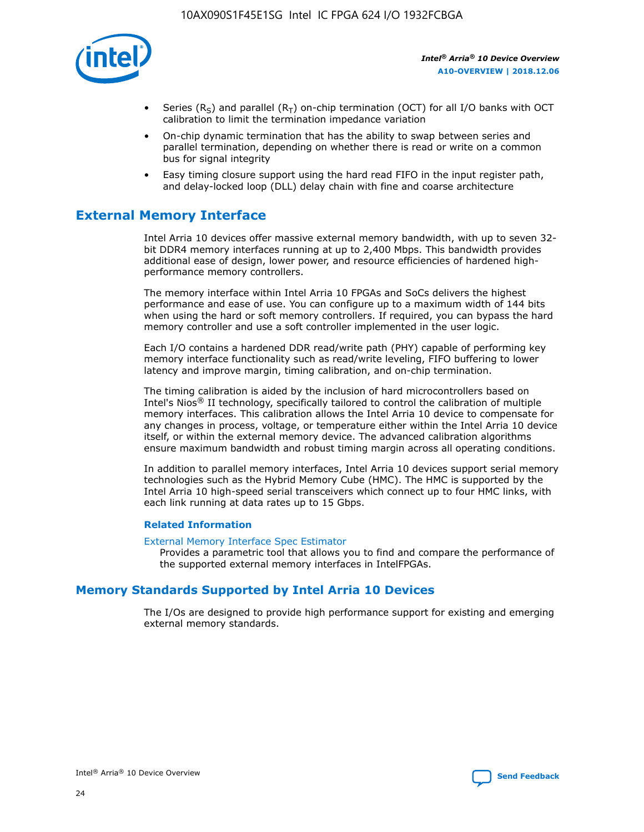

- Series (R<sub>S</sub>) and parallel (R<sub>T</sub>) on-chip termination (OCT) for all I/O banks with OCT calibration to limit the termination impedance variation
- On-chip dynamic termination that has the ability to swap between series and parallel termination, depending on whether there is read or write on a common bus for signal integrity
- Easy timing closure support using the hard read FIFO in the input register path, and delay-locked loop (DLL) delay chain with fine and coarse architecture

# **External Memory Interface**

Intel Arria 10 devices offer massive external memory bandwidth, with up to seven 32 bit DDR4 memory interfaces running at up to 2,400 Mbps. This bandwidth provides additional ease of design, lower power, and resource efficiencies of hardened highperformance memory controllers.

The memory interface within Intel Arria 10 FPGAs and SoCs delivers the highest performance and ease of use. You can configure up to a maximum width of 144 bits when using the hard or soft memory controllers. If required, you can bypass the hard memory controller and use a soft controller implemented in the user logic.

Each I/O contains a hardened DDR read/write path (PHY) capable of performing key memory interface functionality such as read/write leveling, FIFO buffering to lower latency and improve margin, timing calibration, and on-chip termination.

The timing calibration is aided by the inclusion of hard microcontrollers based on Intel's Nios® II technology, specifically tailored to control the calibration of multiple memory interfaces. This calibration allows the Intel Arria 10 device to compensate for any changes in process, voltage, or temperature either within the Intel Arria 10 device itself, or within the external memory device. The advanced calibration algorithms ensure maximum bandwidth and robust timing margin across all operating conditions.

In addition to parallel memory interfaces, Intel Arria 10 devices support serial memory technologies such as the Hybrid Memory Cube (HMC). The HMC is supported by the Intel Arria 10 high-speed serial transceivers which connect up to four HMC links, with each link running at data rates up to 15 Gbps.

### **Related Information**

#### [External Memory Interface Spec Estimator](http://www.altera.com/technology/memory/estimator/mem-emif-index.html)

Provides a parametric tool that allows you to find and compare the performance of the supported external memory interfaces in IntelFPGAs.

# **Memory Standards Supported by Intel Arria 10 Devices**

The I/Os are designed to provide high performance support for existing and emerging external memory standards.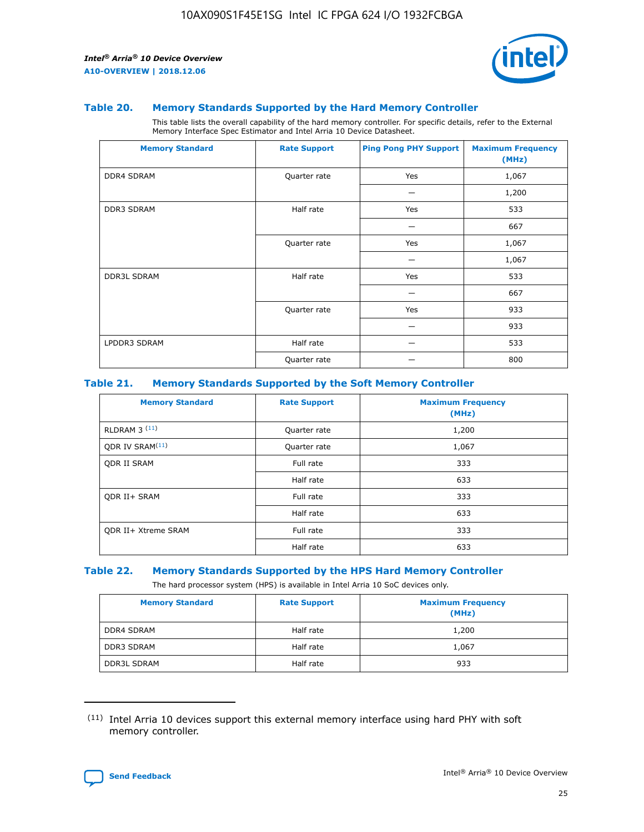

#### **Table 20. Memory Standards Supported by the Hard Memory Controller**

This table lists the overall capability of the hard memory controller. For specific details, refer to the External Memory Interface Spec Estimator and Intel Arria 10 Device Datasheet.

| <b>Memory Standard</b> | <b>Rate Support</b> | <b>Ping Pong PHY Support</b> | <b>Maximum Frequency</b><br>(MHz) |
|------------------------|---------------------|------------------------------|-----------------------------------|
| <b>DDR4 SDRAM</b>      | Quarter rate        | Yes                          | 1,067                             |
|                        |                     |                              | 1,200                             |
| DDR3 SDRAM             | Half rate           | Yes                          | 533                               |
|                        |                     |                              | 667                               |
|                        | Quarter rate        | Yes                          | 1,067                             |
|                        |                     |                              | 1,067                             |
| <b>DDR3L SDRAM</b>     | Half rate           | Yes                          | 533                               |
|                        |                     |                              | 667                               |
|                        | Quarter rate        | Yes                          | 933                               |
|                        |                     |                              | 933                               |
| LPDDR3 SDRAM           | Half rate           |                              | 533                               |
|                        | Quarter rate        |                              | 800                               |

### **Table 21. Memory Standards Supported by the Soft Memory Controller**

| <b>Memory Standard</b>      | <b>Rate Support</b> | <b>Maximum Frequency</b><br>(MHz) |
|-----------------------------|---------------------|-----------------------------------|
| <b>RLDRAM 3 (11)</b>        | Quarter rate        | 1,200                             |
| ODR IV SRAM <sup>(11)</sup> | Quarter rate        | 1,067                             |
| <b>ODR II SRAM</b>          | Full rate           | 333                               |
|                             | Half rate           | 633                               |
| <b>ODR II+ SRAM</b>         | Full rate           | 333                               |
|                             | Half rate           | 633                               |
| <b>ODR II+ Xtreme SRAM</b>  | Full rate           | 333                               |
|                             | Half rate           | 633                               |

#### **Table 22. Memory Standards Supported by the HPS Hard Memory Controller**

The hard processor system (HPS) is available in Intel Arria 10 SoC devices only.

| <b>Memory Standard</b> | <b>Rate Support</b> | <b>Maximum Frequency</b><br>(MHz) |
|------------------------|---------------------|-----------------------------------|
| <b>DDR4 SDRAM</b>      | Half rate           | 1,200                             |
| <b>DDR3 SDRAM</b>      | Half rate           | 1,067                             |
| <b>DDR3L SDRAM</b>     | Half rate           | 933                               |

<sup>(11)</sup> Intel Arria 10 devices support this external memory interface using hard PHY with soft memory controller.

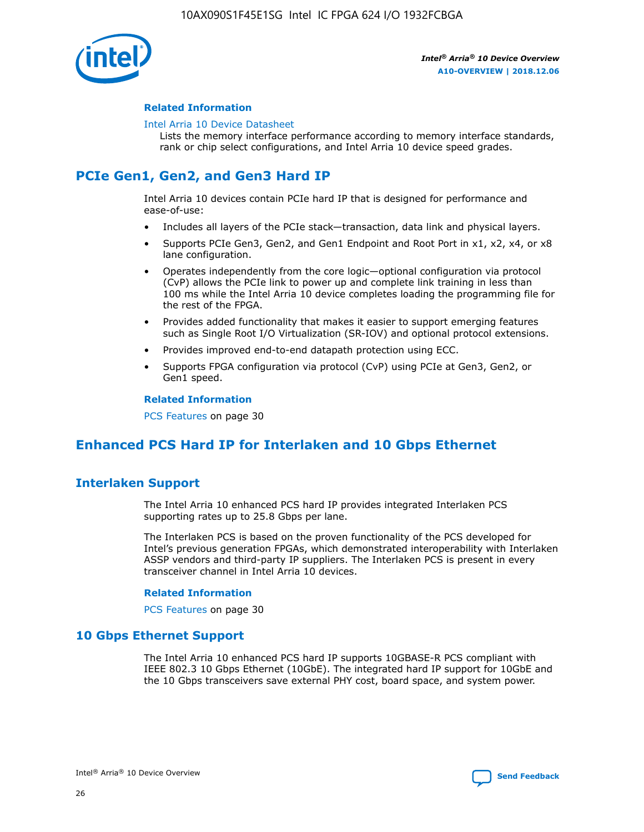

### **Related Information**

#### [Intel Arria 10 Device Datasheet](https://www.intel.com/content/www/us/en/programmable/documentation/mcn1413182292568.html#mcn1413182153340)

Lists the memory interface performance according to memory interface standards, rank or chip select configurations, and Intel Arria 10 device speed grades.

# **PCIe Gen1, Gen2, and Gen3 Hard IP**

Intel Arria 10 devices contain PCIe hard IP that is designed for performance and ease-of-use:

- Includes all layers of the PCIe stack—transaction, data link and physical layers.
- Supports PCIe Gen3, Gen2, and Gen1 Endpoint and Root Port in x1, x2, x4, or x8 lane configuration.
- Operates independently from the core logic—optional configuration via protocol (CvP) allows the PCIe link to power up and complete link training in less than 100 ms while the Intel Arria 10 device completes loading the programming file for the rest of the FPGA.
- Provides added functionality that makes it easier to support emerging features such as Single Root I/O Virtualization (SR-IOV) and optional protocol extensions.
- Provides improved end-to-end datapath protection using ECC.
- Supports FPGA configuration via protocol (CvP) using PCIe at Gen3, Gen2, or Gen1 speed.

#### **Related Information**

PCS Features on page 30

# **Enhanced PCS Hard IP for Interlaken and 10 Gbps Ethernet**

# **Interlaken Support**

The Intel Arria 10 enhanced PCS hard IP provides integrated Interlaken PCS supporting rates up to 25.8 Gbps per lane.

The Interlaken PCS is based on the proven functionality of the PCS developed for Intel's previous generation FPGAs, which demonstrated interoperability with Interlaken ASSP vendors and third-party IP suppliers. The Interlaken PCS is present in every transceiver channel in Intel Arria 10 devices.

### **Related Information**

PCS Features on page 30

## **10 Gbps Ethernet Support**

The Intel Arria 10 enhanced PCS hard IP supports 10GBASE-R PCS compliant with IEEE 802.3 10 Gbps Ethernet (10GbE). The integrated hard IP support for 10GbE and the 10 Gbps transceivers save external PHY cost, board space, and system power.

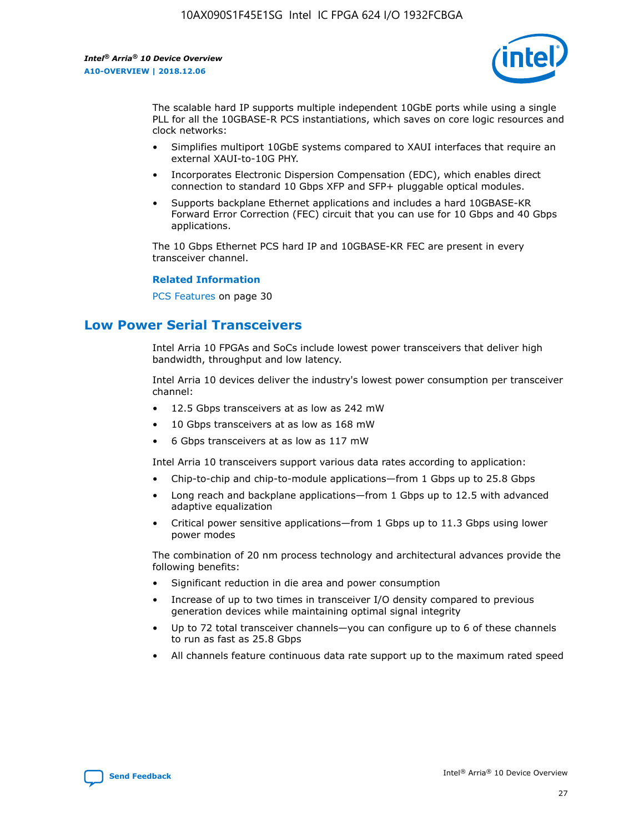

The scalable hard IP supports multiple independent 10GbE ports while using a single PLL for all the 10GBASE-R PCS instantiations, which saves on core logic resources and clock networks:

- Simplifies multiport 10GbE systems compared to XAUI interfaces that require an external XAUI-to-10G PHY.
- Incorporates Electronic Dispersion Compensation (EDC), which enables direct connection to standard 10 Gbps XFP and SFP+ pluggable optical modules.
- Supports backplane Ethernet applications and includes a hard 10GBASE-KR Forward Error Correction (FEC) circuit that you can use for 10 Gbps and 40 Gbps applications.

The 10 Gbps Ethernet PCS hard IP and 10GBASE-KR FEC are present in every transceiver channel.

#### **Related Information**

PCS Features on page 30

# **Low Power Serial Transceivers**

Intel Arria 10 FPGAs and SoCs include lowest power transceivers that deliver high bandwidth, throughput and low latency.

Intel Arria 10 devices deliver the industry's lowest power consumption per transceiver channel:

- 12.5 Gbps transceivers at as low as 242 mW
- 10 Gbps transceivers at as low as 168 mW
- 6 Gbps transceivers at as low as 117 mW

Intel Arria 10 transceivers support various data rates according to application:

- Chip-to-chip and chip-to-module applications—from 1 Gbps up to 25.8 Gbps
- Long reach and backplane applications—from 1 Gbps up to 12.5 with advanced adaptive equalization
- Critical power sensitive applications—from 1 Gbps up to 11.3 Gbps using lower power modes

The combination of 20 nm process technology and architectural advances provide the following benefits:

- Significant reduction in die area and power consumption
- Increase of up to two times in transceiver I/O density compared to previous generation devices while maintaining optimal signal integrity
- Up to 72 total transceiver channels—you can configure up to 6 of these channels to run as fast as 25.8 Gbps
- All channels feature continuous data rate support up to the maximum rated speed

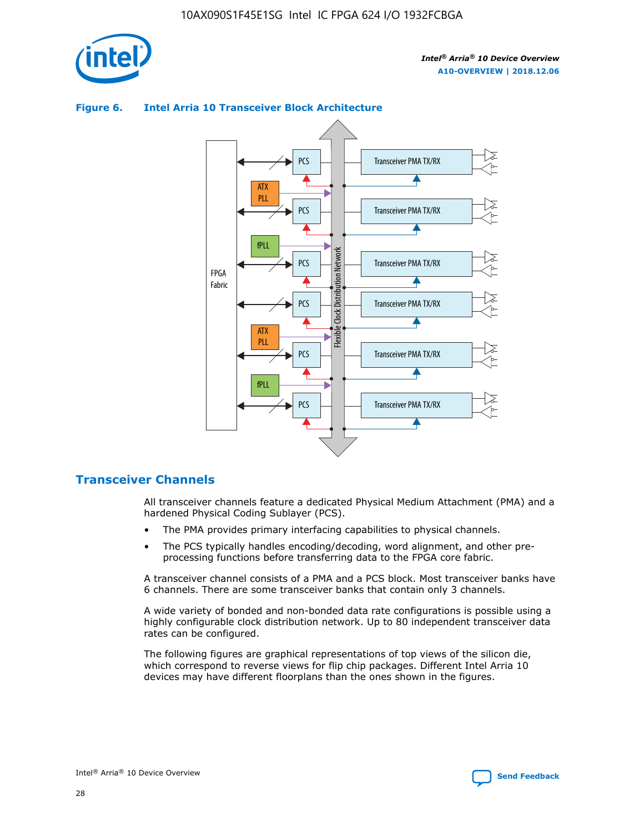

# ATX PLL PCS PCS

**Figure 6. Intel Arria 10 Transceiver Block Architecture**



# **Transceiver Channels**

All transceiver channels feature a dedicated Physical Medium Attachment (PMA) and a hardened Physical Coding Sublayer (PCS).

- The PMA provides primary interfacing capabilities to physical channels.
- The PCS typically handles encoding/decoding, word alignment, and other preprocessing functions before transferring data to the FPGA core fabric.

A transceiver channel consists of a PMA and a PCS block. Most transceiver banks have 6 channels. There are some transceiver banks that contain only 3 channels.

A wide variety of bonded and non-bonded data rate configurations is possible using a highly configurable clock distribution network. Up to 80 independent transceiver data rates can be configured.

The following figures are graphical representations of top views of the silicon die, which correspond to reverse views for flip chip packages. Different Intel Arria 10 devices may have different floorplans than the ones shown in the figures.

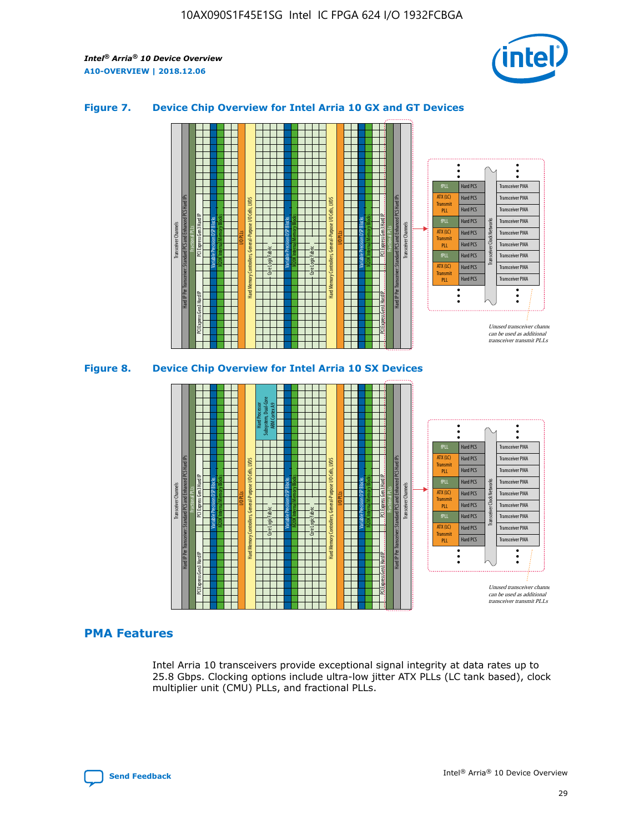

## **Figure 7. Device Chip Overview for Intel Arria 10 GX and GT Devices**





## **PMA Features**

Intel Arria 10 transceivers provide exceptional signal integrity at data rates up to 25.8 Gbps. Clocking options include ultra-low jitter ATX PLLs (LC tank based), clock multiplier unit (CMU) PLLs, and fractional PLLs.

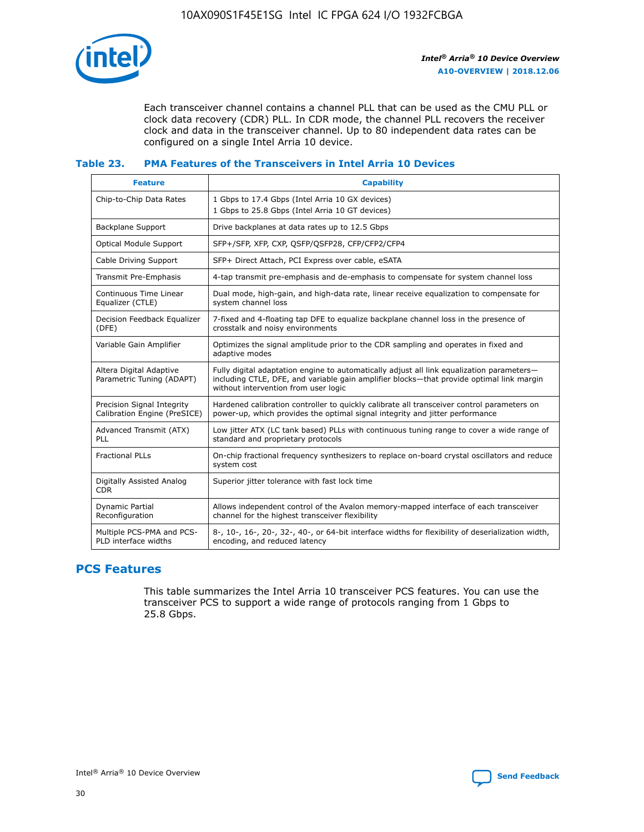

Each transceiver channel contains a channel PLL that can be used as the CMU PLL or clock data recovery (CDR) PLL. In CDR mode, the channel PLL recovers the receiver clock and data in the transceiver channel. Up to 80 independent data rates can be configured on a single Intel Arria 10 device.

## **Table 23. PMA Features of the Transceivers in Intel Arria 10 Devices**

| <b>Feature</b>                                             | <b>Capability</b>                                                                                                                                                                                                             |
|------------------------------------------------------------|-------------------------------------------------------------------------------------------------------------------------------------------------------------------------------------------------------------------------------|
| Chip-to-Chip Data Rates                                    | 1 Gbps to 17.4 Gbps (Intel Arria 10 GX devices)<br>1 Gbps to 25.8 Gbps (Intel Arria 10 GT devices)                                                                                                                            |
| Backplane Support                                          | Drive backplanes at data rates up to 12.5 Gbps                                                                                                                                                                                |
| Optical Module Support                                     | SFP+/SFP, XFP, CXP, QSFP/QSFP28, CFP/CFP2/CFP4                                                                                                                                                                                |
| Cable Driving Support                                      | SFP+ Direct Attach, PCI Express over cable, eSATA                                                                                                                                                                             |
| Transmit Pre-Emphasis                                      | 4-tap transmit pre-emphasis and de-emphasis to compensate for system channel loss                                                                                                                                             |
| Continuous Time Linear<br>Equalizer (CTLE)                 | Dual mode, high-gain, and high-data rate, linear receive equalization to compensate for<br>system channel loss                                                                                                                |
| Decision Feedback Equalizer<br>(DFE)                       | 7-fixed and 4-floating tap DFE to equalize backplane channel loss in the presence of<br>crosstalk and noisy environments                                                                                                      |
| Variable Gain Amplifier                                    | Optimizes the signal amplitude prior to the CDR sampling and operates in fixed and<br>adaptive modes                                                                                                                          |
| Altera Digital Adaptive<br>Parametric Tuning (ADAPT)       | Fully digital adaptation engine to automatically adjust all link equalization parameters-<br>including CTLE, DFE, and variable gain amplifier blocks—that provide optimal link margin<br>without intervention from user logic |
| Precision Signal Integrity<br>Calibration Engine (PreSICE) | Hardened calibration controller to quickly calibrate all transceiver control parameters on<br>power-up, which provides the optimal signal integrity and jitter performance                                                    |
| Advanced Transmit (ATX)<br>PLL                             | Low jitter ATX (LC tank based) PLLs with continuous tuning range to cover a wide range of<br>standard and proprietary protocols                                                                                               |
| <b>Fractional PLLs</b>                                     | On-chip fractional frequency synthesizers to replace on-board crystal oscillators and reduce<br>system cost                                                                                                                   |
| Digitally Assisted Analog<br><b>CDR</b>                    | Superior jitter tolerance with fast lock time                                                                                                                                                                                 |
| <b>Dynamic Partial</b><br>Reconfiguration                  | Allows independent control of the Avalon memory-mapped interface of each transceiver<br>channel for the highest transceiver flexibility                                                                                       |
| Multiple PCS-PMA and PCS-<br>PLD interface widths          | 8-, 10-, 16-, 20-, 32-, 40-, or 64-bit interface widths for flexibility of deserialization width,<br>encoding, and reduced latency                                                                                            |

# **PCS Features**

This table summarizes the Intel Arria 10 transceiver PCS features. You can use the transceiver PCS to support a wide range of protocols ranging from 1 Gbps to 25.8 Gbps.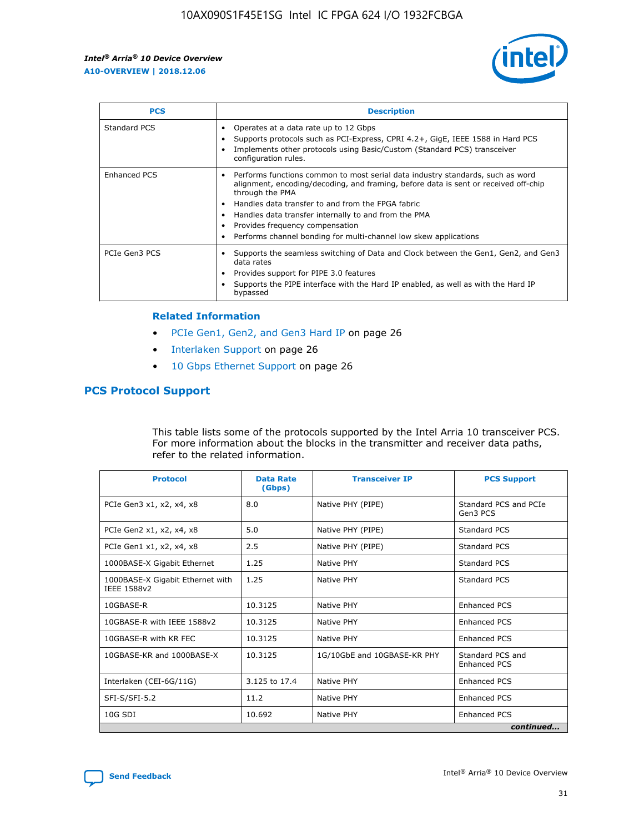

| <b>PCS</b>    | <b>Description</b>                                                                                                                                                                                                                                                                                                                                                                                             |
|---------------|----------------------------------------------------------------------------------------------------------------------------------------------------------------------------------------------------------------------------------------------------------------------------------------------------------------------------------------------------------------------------------------------------------------|
| Standard PCS  | Operates at a data rate up to 12 Gbps<br>Supports protocols such as PCI-Express, CPRI 4.2+, GigE, IEEE 1588 in Hard PCS<br>Implements other protocols using Basic/Custom (Standard PCS) transceiver<br>configuration rules.                                                                                                                                                                                    |
| Enhanced PCS  | Performs functions common to most serial data industry standards, such as word<br>alignment, encoding/decoding, and framing, before data is sent or received off-chip<br>through the PMA<br>• Handles data transfer to and from the FPGA fabric<br>Handles data transfer internally to and from the PMA<br>Provides frequency compensation<br>Performs channel bonding for multi-channel low skew applications |
| PCIe Gen3 PCS | Supports the seamless switching of Data and Clock between the Gen1, Gen2, and Gen3<br>data rates<br>Provides support for PIPE 3.0 features<br>Supports the PIPE interface with the Hard IP enabled, as well as with the Hard IP<br>bypassed                                                                                                                                                                    |

#### **Related Information**

- PCIe Gen1, Gen2, and Gen3 Hard IP on page 26
- Interlaken Support on page 26
- 10 Gbps Ethernet Support on page 26

# **PCS Protocol Support**

This table lists some of the protocols supported by the Intel Arria 10 transceiver PCS. For more information about the blocks in the transmitter and receiver data paths, refer to the related information.

| <b>Protocol</b>                                 | <b>Data Rate</b><br>(Gbps) | <b>Transceiver IP</b>       | <b>PCS Support</b>                      |
|-------------------------------------------------|----------------------------|-----------------------------|-----------------------------------------|
| PCIe Gen3 x1, x2, x4, x8                        | 8.0                        | Native PHY (PIPE)           | Standard PCS and PCIe<br>Gen3 PCS       |
| PCIe Gen2 x1, x2, x4, x8                        | 5.0                        | Native PHY (PIPE)           | <b>Standard PCS</b>                     |
| PCIe Gen1 x1, x2, x4, x8                        | 2.5                        | Native PHY (PIPE)           | Standard PCS                            |
| 1000BASE-X Gigabit Ethernet                     | 1.25                       | Native PHY                  | <b>Standard PCS</b>                     |
| 1000BASE-X Gigabit Ethernet with<br>IEEE 1588v2 | 1.25                       | Native PHY                  | Standard PCS                            |
| 10GBASE-R                                       | 10.3125                    | Native PHY                  | <b>Enhanced PCS</b>                     |
| 10GBASE-R with IEEE 1588v2                      | 10.3125                    | Native PHY                  | <b>Enhanced PCS</b>                     |
| 10GBASE-R with KR FEC                           | 10.3125                    | Native PHY                  | <b>Enhanced PCS</b>                     |
| 10GBASE-KR and 1000BASE-X                       | 10.3125                    | 1G/10GbE and 10GBASE-KR PHY | Standard PCS and<br><b>Enhanced PCS</b> |
| Interlaken (CEI-6G/11G)                         | 3.125 to 17.4              | Native PHY                  | <b>Enhanced PCS</b>                     |
| SFI-S/SFI-5.2                                   | 11.2                       | Native PHY                  | <b>Enhanced PCS</b>                     |
| $10G$ SDI                                       | 10.692                     | Native PHY                  | <b>Enhanced PCS</b>                     |
|                                                 |                            |                             | continued                               |

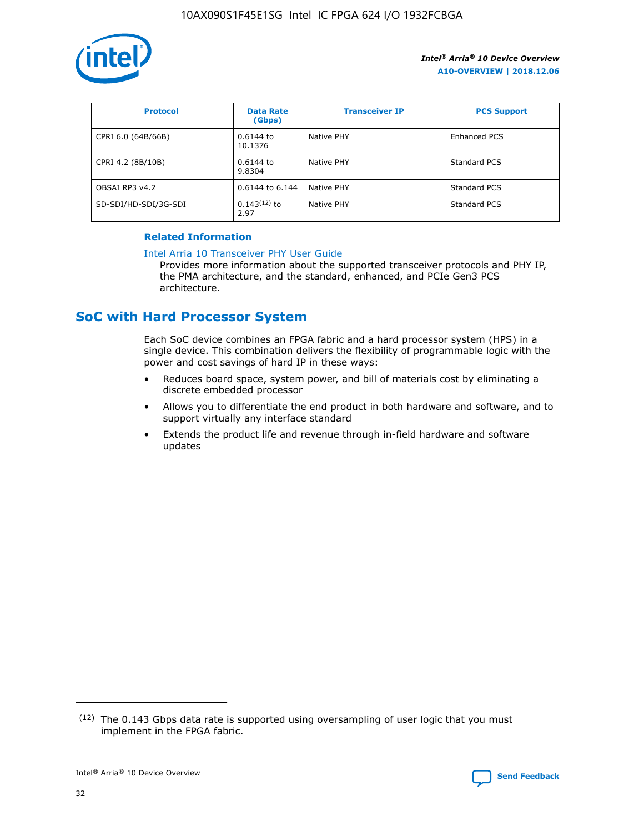

| <b>Protocol</b>      | <b>Data Rate</b><br>(Gbps) | <b>Transceiver IP</b> | <b>PCS Support</b> |
|----------------------|----------------------------|-----------------------|--------------------|
| CPRI 6.0 (64B/66B)   | 0.6144 to<br>10.1376       | Native PHY            | Enhanced PCS       |
| CPRI 4.2 (8B/10B)    | 0.6144 to<br>9.8304        | Native PHY            | Standard PCS       |
| OBSAI RP3 v4.2       | 0.6144 to 6.144            | Native PHY            | Standard PCS       |
| SD-SDI/HD-SDI/3G-SDI | $0.143(12)$ to<br>2.97     | Native PHY            | Standard PCS       |

## **Related Information**

#### [Intel Arria 10 Transceiver PHY User Guide](https://www.intel.com/content/www/us/en/programmable/documentation/nik1398707230472.html#nik1398707091164)

Provides more information about the supported transceiver protocols and PHY IP, the PMA architecture, and the standard, enhanced, and PCIe Gen3 PCS architecture.

# **SoC with Hard Processor System**

Each SoC device combines an FPGA fabric and a hard processor system (HPS) in a single device. This combination delivers the flexibility of programmable logic with the power and cost savings of hard IP in these ways:

- Reduces board space, system power, and bill of materials cost by eliminating a discrete embedded processor
- Allows you to differentiate the end product in both hardware and software, and to support virtually any interface standard
- Extends the product life and revenue through in-field hardware and software updates

 $(12)$  The 0.143 Gbps data rate is supported using oversampling of user logic that you must implement in the FPGA fabric.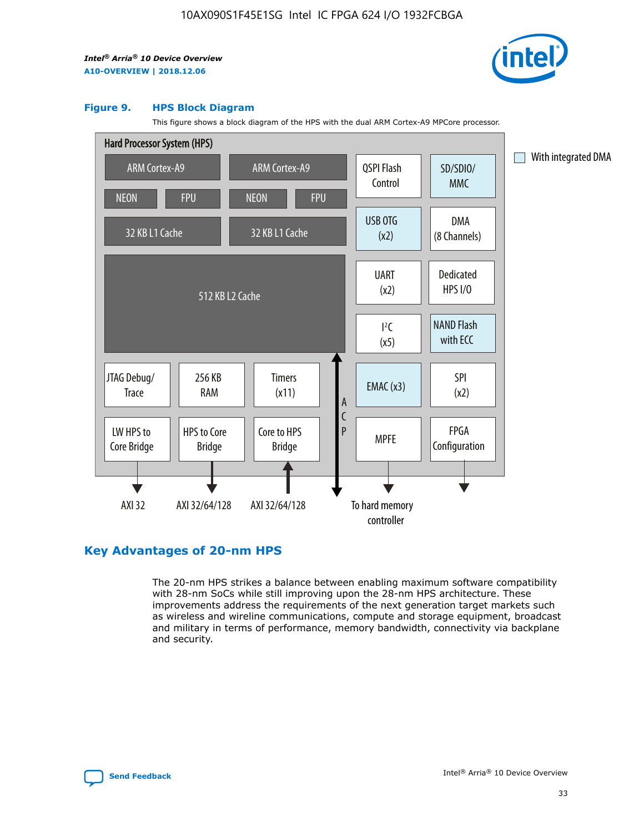

#### **Figure 9. HPS Block Diagram**

This figure shows a block diagram of the HPS with the dual ARM Cortex-A9 MPCore processor.



# **Key Advantages of 20-nm HPS**

The 20-nm HPS strikes a balance between enabling maximum software compatibility with 28-nm SoCs while still improving upon the 28-nm HPS architecture. These improvements address the requirements of the next generation target markets such as wireless and wireline communications, compute and storage equipment, broadcast and military in terms of performance, memory bandwidth, connectivity via backplane and security.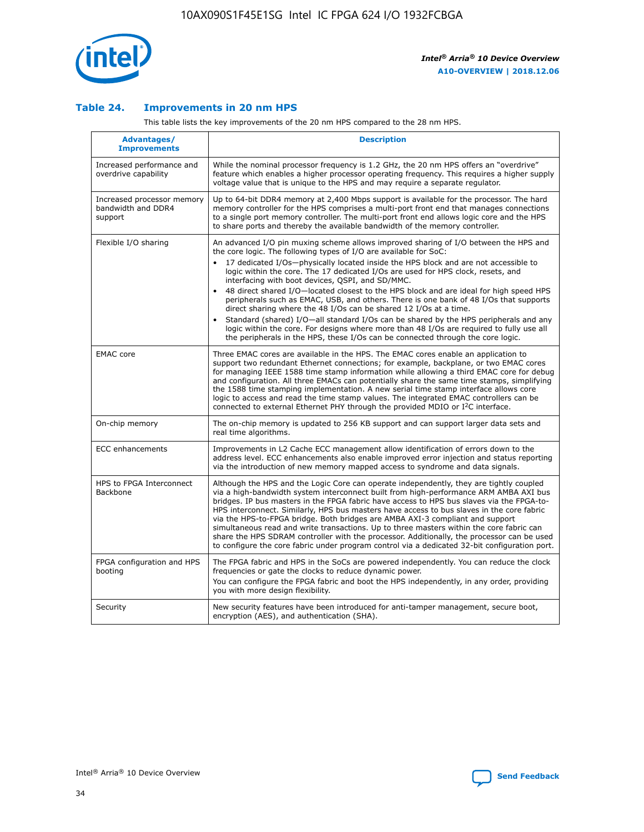

## **Table 24. Improvements in 20 nm HPS**

This table lists the key improvements of the 20 nm HPS compared to the 28 nm HPS.

| Advantages/<br><b>Improvements</b>                          | <b>Description</b>                                                                                                                                                                                                                                                                                                                                                                                                                                                                                                                                                                                                                                                                                                                                                                                                                                                                                                      |
|-------------------------------------------------------------|-------------------------------------------------------------------------------------------------------------------------------------------------------------------------------------------------------------------------------------------------------------------------------------------------------------------------------------------------------------------------------------------------------------------------------------------------------------------------------------------------------------------------------------------------------------------------------------------------------------------------------------------------------------------------------------------------------------------------------------------------------------------------------------------------------------------------------------------------------------------------------------------------------------------------|
| Increased performance and<br>overdrive capability           | While the nominal processor frequency is 1.2 GHz, the 20 nm HPS offers an "overdrive"<br>feature which enables a higher processor operating frequency. This requires a higher supply<br>voltage value that is unique to the HPS and may require a separate regulator.                                                                                                                                                                                                                                                                                                                                                                                                                                                                                                                                                                                                                                                   |
| Increased processor memory<br>bandwidth and DDR4<br>support | Up to 64-bit DDR4 memory at 2,400 Mbps support is available for the processor. The hard<br>memory controller for the HPS comprises a multi-port front end that manages connections<br>to a single port memory controller. The multi-port front end allows logic core and the HPS<br>to share ports and thereby the available bandwidth of the memory controller.                                                                                                                                                                                                                                                                                                                                                                                                                                                                                                                                                        |
| Flexible I/O sharing                                        | An advanced I/O pin muxing scheme allows improved sharing of I/O between the HPS and<br>the core logic. The following types of I/O are available for SoC:<br>17 dedicated I/Os-physically located inside the HPS block and are not accessible to<br>logic within the core. The 17 dedicated I/Os are used for HPS clock, resets, and<br>interfacing with boot devices, QSPI, and SD/MMC.<br>48 direct shared I/O-located closest to the HPS block and are ideal for high speed HPS<br>peripherals such as EMAC, USB, and others. There is one bank of 48 I/Os that supports<br>direct sharing where the 48 I/Os can be shared 12 I/Os at a time.<br>Standard (shared) I/O-all standard I/Os can be shared by the HPS peripherals and any<br>logic within the core. For designs where more than 48 I/Os are reguired to fully use all<br>the peripherals in the HPS, these I/Os can be connected through the core logic. |
| <b>EMAC</b> core                                            | Three EMAC cores are available in the HPS. The EMAC cores enable an application to<br>support two redundant Ethernet connections; for example, backplane, or two EMAC cores<br>for managing IEEE 1588 time stamp information while allowing a third EMAC core for debug<br>and configuration. All three EMACs can potentially share the same time stamps, simplifying<br>the 1588 time stamping implementation. A new serial time stamp interface allows core<br>logic to access and read the time stamp values. The integrated EMAC controllers can be<br>connected to external Ethernet PHY through the provided MDIO or I <sup>2</sup> C interface.                                                                                                                                                                                                                                                                  |
| On-chip memory                                              | The on-chip memory is updated to 256 KB support and can support larger data sets and<br>real time algorithms.                                                                                                                                                                                                                                                                                                                                                                                                                                                                                                                                                                                                                                                                                                                                                                                                           |
| <b>ECC</b> enhancements                                     | Improvements in L2 Cache ECC management allow identification of errors down to the<br>address level. ECC enhancements also enable improved error injection and status reporting<br>via the introduction of new memory mapped access to syndrome and data signals.                                                                                                                                                                                                                                                                                                                                                                                                                                                                                                                                                                                                                                                       |
| HPS to FPGA Interconnect<br>Backbone                        | Although the HPS and the Logic Core can operate independently, they are tightly coupled<br>via a high-bandwidth system interconnect built from high-performance ARM AMBA AXI bus<br>bridges. IP bus masters in the FPGA fabric have access to HPS bus slaves via the FPGA-to-<br>HPS interconnect. Similarly, HPS bus masters have access to bus slaves in the core fabric<br>via the HPS-to-FPGA bridge. Both bridges are AMBA AXI-3 compliant and support<br>simultaneous read and write transactions. Up to three masters within the core fabric can<br>share the HPS SDRAM controller with the processor. Additionally, the processor can be used<br>to configure the core fabric under program control via a dedicated 32-bit configuration port.                                                                                                                                                                  |
| FPGA configuration and HPS<br>booting                       | The FPGA fabric and HPS in the SoCs are powered independently. You can reduce the clock<br>frequencies or gate the clocks to reduce dynamic power.<br>You can configure the FPGA fabric and boot the HPS independently, in any order, providing<br>you with more design flexibility.                                                                                                                                                                                                                                                                                                                                                                                                                                                                                                                                                                                                                                    |
| Security                                                    | New security features have been introduced for anti-tamper management, secure boot,<br>encryption (AES), and authentication (SHA).                                                                                                                                                                                                                                                                                                                                                                                                                                                                                                                                                                                                                                                                                                                                                                                      |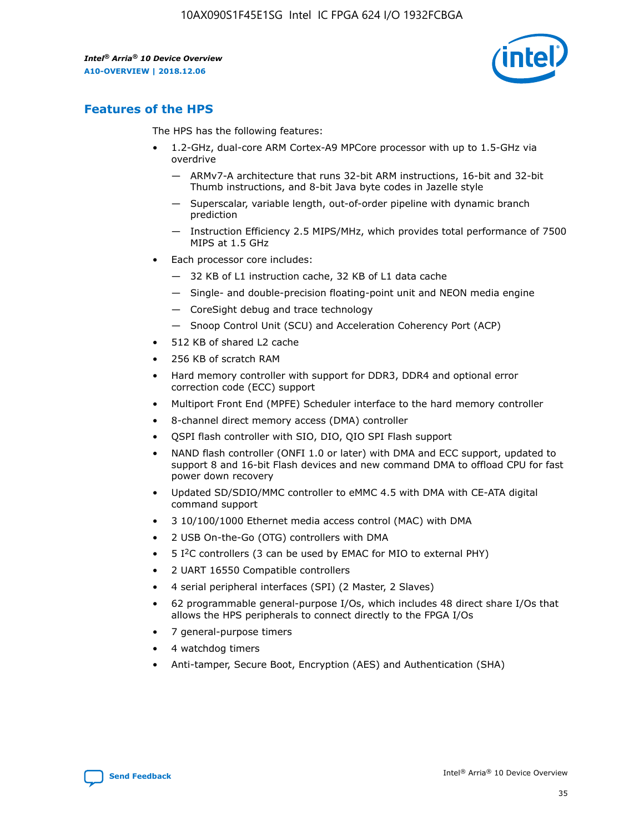

# **Features of the HPS**

The HPS has the following features:

- 1.2-GHz, dual-core ARM Cortex-A9 MPCore processor with up to 1.5-GHz via overdrive
	- ARMv7-A architecture that runs 32-bit ARM instructions, 16-bit and 32-bit Thumb instructions, and 8-bit Java byte codes in Jazelle style
	- Superscalar, variable length, out-of-order pipeline with dynamic branch prediction
	- Instruction Efficiency 2.5 MIPS/MHz, which provides total performance of 7500 MIPS at 1.5 GHz
- Each processor core includes:
	- 32 KB of L1 instruction cache, 32 KB of L1 data cache
	- Single- and double-precision floating-point unit and NEON media engine
	- CoreSight debug and trace technology
	- Snoop Control Unit (SCU) and Acceleration Coherency Port (ACP)
- 512 KB of shared L2 cache
- 256 KB of scratch RAM
- Hard memory controller with support for DDR3, DDR4 and optional error correction code (ECC) support
- Multiport Front End (MPFE) Scheduler interface to the hard memory controller
- 8-channel direct memory access (DMA) controller
- QSPI flash controller with SIO, DIO, QIO SPI Flash support
- NAND flash controller (ONFI 1.0 or later) with DMA and ECC support, updated to support 8 and 16-bit Flash devices and new command DMA to offload CPU for fast power down recovery
- Updated SD/SDIO/MMC controller to eMMC 4.5 with DMA with CE-ATA digital command support
- 3 10/100/1000 Ethernet media access control (MAC) with DMA
- 2 USB On-the-Go (OTG) controllers with DMA
- $\bullet$  5 I<sup>2</sup>C controllers (3 can be used by EMAC for MIO to external PHY)
- 2 UART 16550 Compatible controllers
- 4 serial peripheral interfaces (SPI) (2 Master, 2 Slaves)
- 62 programmable general-purpose I/Os, which includes 48 direct share I/Os that allows the HPS peripherals to connect directly to the FPGA I/Os
- 7 general-purpose timers
- 4 watchdog timers
- Anti-tamper, Secure Boot, Encryption (AES) and Authentication (SHA)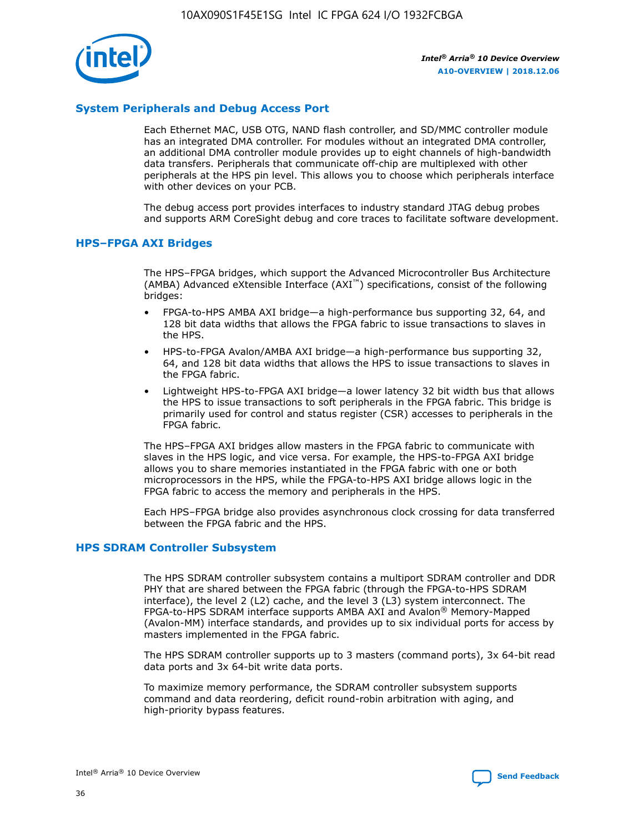

## **System Peripherals and Debug Access Port**

Each Ethernet MAC, USB OTG, NAND flash controller, and SD/MMC controller module has an integrated DMA controller. For modules without an integrated DMA controller, an additional DMA controller module provides up to eight channels of high-bandwidth data transfers. Peripherals that communicate off-chip are multiplexed with other peripherals at the HPS pin level. This allows you to choose which peripherals interface with other devices on your PCB.

The debug access port provides interfaces to industry standard JTAG debug probes and supports ARM CoreSight debug and core traces to facilitate software development.

## **HPS–FPGA AXI Bridges**

The HPS–FPGA bridges, which support the Advanced Microcontroller Bus Architecture (AMBA) Advanced eXtensible Interface (AXI™) specifications, consist of the following bridges:

- FPGA-to-HPS AMBA AXI bridge—a high-performance bus supporting 32, 64, and 128 bit data widths that allows the FPGA fabric to issue transactions to slaves in the HPS.
- HPS-to-FPGA Avalon/AMBA AXI bridge—a high-performance bus supporting 32, 64, and 128 bit data widths that allows the HPS to issue transactions to slaves in the FPGA fabric.
- Lightweight HPS-to-FPGA AXI bridge—a lower latency 32 bit width bus that allows the HPS to issue transactions to soft peripherals in the FPGA fabric. This bridge is primarily used for control and status register (CSR) accesses to peripherals in the FPGA fabric.

The HPS–FPGA AXI bridges allow masters in the FPGA fabric to communicate with slaves in the HPS logic, and vice versa. For example, the HPS-to-FPGA AXI bridge allows you to share memories instantiated in the FPGA fabric with one or both microprocessors in the HPS, while the FPGA-to-HPS AXI bridge allows logic in the FPGA fabric to access the memory and peripherals in the HPS.

Each HPS–FPGA bridge also provides asynchronous clock crossing for data transferred between the FPGA fabric and the HPS.

### **HPS SDRAM Controller Subsystem**

The HPS SDRAM controller subsystem contains a multiport SDRAM controller and DDR PHY that are shared between the FPGA fabric (through the FPGA-to-HPS SDRAM interface), the level 2 (L2) cache, and the level 3 (L3) system interconnect. The FPGA-to-HPS SDRAM interface supports AMBA AXI and Avalon® Memory-Mapped (Avalon-MM) interface standards, and provides up to six individual ports for access by masters implemented in the FPGA fabric.

The HPS SDRAM controller supports up to 3 masters (command ports), 3x 64-bit read data ports and 3x 64-bit write data ports.

To maximize memory performance, the SDRAM controller subsystem supports command and data reordering, deficit round-robin arbitration with aging, and high-priority bypass features.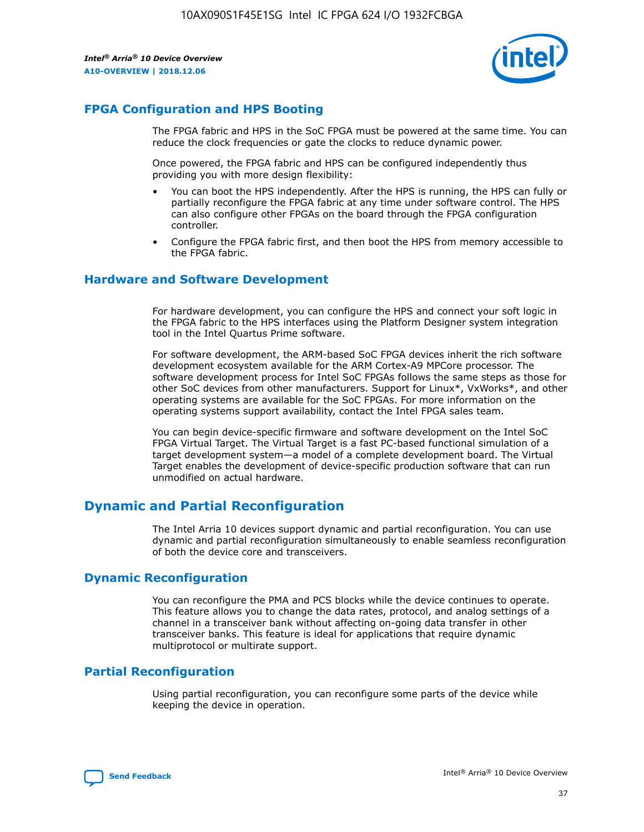

# **FPGA Configuration and HPS Booting**

The FPGA fabric and HPS in the SoC FPGA must be powered at the same time. You can reduce the clock frequencies or gate the clocks to reduce dynamic power.

Once powered, the FPGA fabric and HPS can be configured independently thus providing you with more design flexibility:

- You can boot the HPS independently. After the HPS is running, the HPS can fully or partially reconfigure the FPGA fabric at any time under software control. The HPS can also configure other FPGAs on the board through the FPGA configuration controller.
- Configure the FPGA fabric first, and then boot the HPS from memory accessible to the FPGA fabric.

## **Hardware and Software Development**

For hardware development, you can configure the HPS and connect your soft logic in the FPGA fabric to the HPS interfaces using the Platform Designer system integration tool in the Intel Quartus Prime software.

For software development, the ARM-based SoC FPGA devices inherit the rich software development ecosystem available for the ARM Cortex-A9 MPCore processor. The software development process for Intel SoC FPGAs follows the same steps as those for other SoC devices from other manufacturers. Support for Linux\*, VxWorks\*, and other operating systems are available for the SoC FPGAs. For more information on the operating systems support availability, contact the Intel FPGA sales team.

You can begin device-specific firmware and software development on the Intel SoC FPGA Virtual Target. The Virtual Target is a fast PC-based functional simulation of a target development system—a model of a complete development board. The Virtual Target enables the development of device-specific production software that can run unmodified on actual hardware.

# **Dynamic and Partial Reconfiguration**

The Intel Arria 10 devices support dynamic and partial reconfiguration. You can use dynamic and partial reconfiguration simultaneously to enable seamless reconfiguration of both the device core and transceivers.

# **Dynamic Reconfiguration**

You can reconfigure the PMA and PCS blocks while the device continues to operate. This feature allows you to change the data rates, protocol, and analog settings of a channel in a transceiver bank without affecting on-going data transfer in other transceiver banks. This feature is ideal for applications that require dynamic multiprotocol or multirate support.

# **Partial Reconfiguration**

Using partial reconfiguration, you can reconfigure some parts of the device while keeping the device in operation.

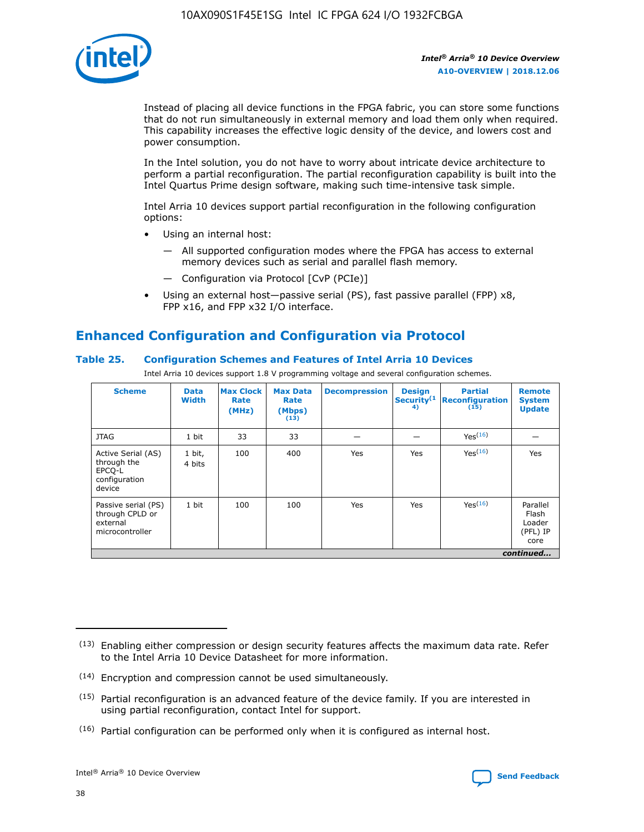

Instead of placing all device functions in the FPGA fabric, you can store some functions that do not run simultaneously in external memory and load them only when required. This capability increases the effective logic density of the device, and lowers cost and power consumption.

In the Intel solution, you do not have to worry about intricate device architecture to perform a partial reconfiguration. The partial reconfiguration capability is built into the Intel Quartus Prime design software, making such time-intensive task simple.

Intel Arria 10 devices support partial reconfiguration in the following configuration options:

- Using an internal host:
	- All supported configuration modes where the FPGA has access to external memory devices such as serial and parallel flash memory.
	- Configuration via Protocol [CvP (PCIe)]
- Using an external host—passive serial (PS), fast passive parallel (FPP) x8, FPP x16, and FPP x32 I/O interface.

# **Enhanced Configuration and Configuration via Protocol**

## **Table 25. Configuration Schemes and Features of Intel Arria 10 Devices**

Intel Arria 10 devices support 1.8 V programming voltage and several configuration schemes.

| <b>Scheme</b>                                                          | <b>Data</b><br><b>Width</b> | <b>Max Clock</b><br>Rate<br>(MHz) | <b>Max Data</b><br>Rate<br>(Mbps)<br>(13) | <b>Decompression</b> | <b>Design</b><br>Security <sup>(1</sup><br>4) | <b>Partial</b><br>Reconfiguration<br>(15) | <b>Remote</b><br><b>System</b><br><b>Update</b> |
|------------------------------------------------------------------------|-----------------------------|-----------------------------------|-------------------------------------------|----------------------|-----------------------------------------------|-------------------------------------------|-------------------------------------------------|
| <b>JTAG</b>                                                            | 1 bit                       | 33                                | 33                                        |                      |                                               | Yes <sup>(16)</sup>                       |                                                 |
| Active Serial (AS)<br>through the<br>EPCO-L<br>configuration<br>device | 1 bit,<br>4 bits            | 100                               | 400                                       | Yes                  | Yes                                           | $Y_{PS}(16)$                              | Yes                                             |
| Passive serial (PS)<br>through CPLD or<br>external<br>microcontroller  | 1 bit                       | 100                               | 100                                       | Yes                  | Yes                                           | Yes(16)                                   | Parallel<br>Flash<br>Loader<br>(PFL) IP<br>core |
|                                                                        | continued                   |                                   |                                           |                      |                                               |                                           |                                                 |

<sup>(13)</sup> Enabling either compression or design security features affects the maximum data rate. Refer to the Intel Arria 10 Device Datasheet for more information.

<sup>(14)</sup> Encryption and compression cannot be used simultaneously.

 $(15)$  Partial reconfiguration is an advanced feature of the device family. If you are interested in using partial reconfiguration, contact Intel for support.

 $(16)$  Partial configuration can be performed only when it is configured as internal host.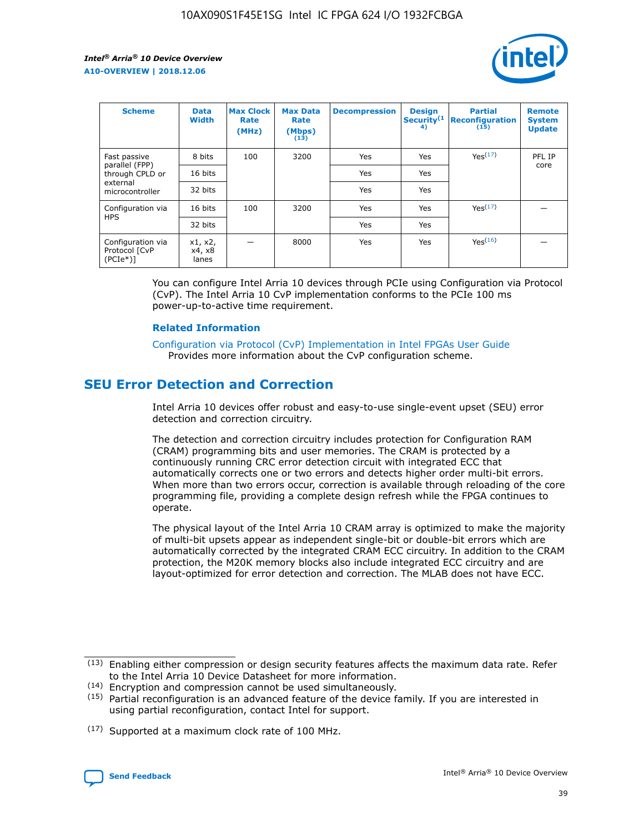

| <b>Scheme</b>                                    | <b>Data</b><br><b>Width</b> | <b>Max Clock</b><br>Rate<br>(MHz) | <b>Max Data</b><br>Rate<br>(Mbps)<br>(13) | <b>Decompression</b> | <b>Design</b><br>Security <sup>(1</sup><br>4) | <b>Partial</b><br><b>Reconfiguration</b><br>(15) | <b>Remote</b><br><b>System</b><br><b>Update</b> |
|--------------------------------------------------|-----------------------------|-----------------------------------|-------------------------------------------|----------------------|-----------------------------------------------|--------------------------------------------------|-------------------------------------------------|
| Fast passive                                     | 8 bits                      | 100                               | 3200                                      | Yes                  | Yes                                           | Yes(17)                                          | PFL IP                                          |
| parallel (FPP)<br>through CPLD or                | 16 bits                     |                                   |                                           | Yes                  | Yes                                           |                                                  | core                                            |
| external<br>microcontroller                      | 32 bits                     |                                   |                                           | Yes                  | Yes                                           |                                                  |                                                 |
| Configuration via                                | 16 bits                     | 100                               | 3200                                      | Yes                  | Yes                                           | Yes <sup>(17)</sup>                              |                                                 |
| <b>HPS</b>                                       | 32 bits                     |                                   |                                           | Yes                  | Yes                                           |                                                  |                                                 |
| Configuration via<br>Protocol [CvP<br>$(PCIe^*)$ | x1, x2,<br>x4, x8<br>lanes  |                                   | 8000                                      | Yes                  | Yes                                           | Yes(16)                                          |                                                 |

You can configure Intel Arria 10 devices through PCIe using Configuration via Protocol (CvP). The Intel Arria 10 CvP implementation conforms to the PCIe 100 ms power-up-to-active time requirement.

### **Related Information**

[Configuration via Protocol \(CvP\) Implementation in Intel FPGAs User Guide](https://www.intel.com/content/www/us/en/programmable/documentation/dsu1441819344145.html#dsu1442269728522) Provides more information about the CvP configuration scheme.

# **SEU Error Detection and Correction**

Intel Arria 10 devices offer robust and easy-to-use single-event upset (SEU) error detection and correction circuitry.

The detection and correction circuitry includes protection for Configuration RAM (CRAM) programming bits and user memories. The CRAM is protected by a continuously running CRC error detection circuit with integrated ECC that automatically corrects one or two errors and detects higher order multi-bit errors. When more than two errors occur, correction is available through reloading of the core programming file, providing a complete design refresh while the FPGA continues to operate.

The physical layout of the Intel Arria 10 CRAM array is optimized to make the majority of multi-bit upsets appear as independent single-bit or double-bit errors which are automatically corrected by the integrated CRAM ECC circuitry. In addition to the CRAM protection, the M20K memory blocks also include integrated ECC circuitry and are layout-optimized for error detection and correction. The MLAB does not have ECC.

(14) Encryption and compression cannot be used simultaneously.

<sup>(17)</sup> Supported at a maximum clock rate of 100 MHz.



 $(13)$  Enabling either compression or design security features affects the maximum data rate. Refer to the Intel Arria 10 Device Datasheet for more information.

 $(15)$  Partial reconfiguration is an advanced feature of the device family. If you are interested in using partial reconfiguration, contact Intel for support.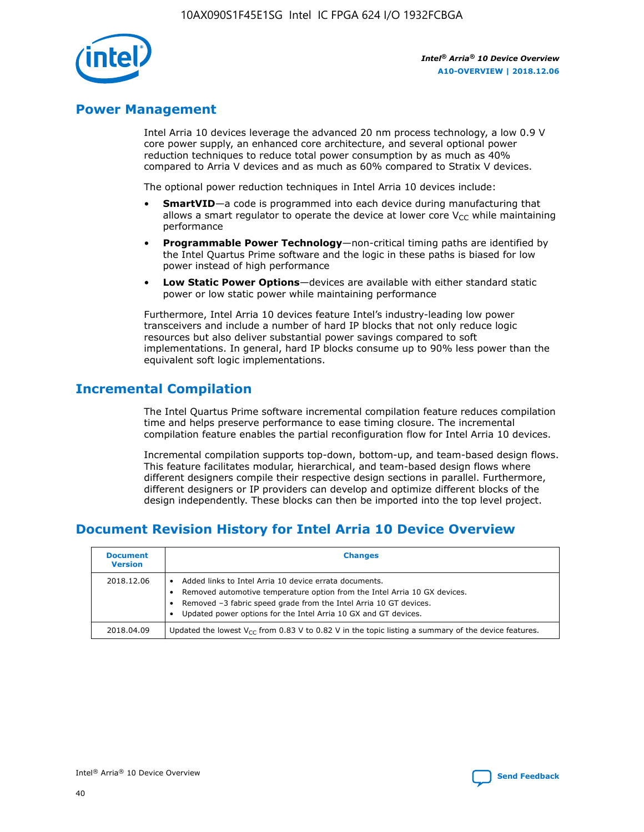

# **Power Management**

Intel Arria 10 devices leverage the advanced 20 nm process technology, a low 0.9 V core power supply, an enhanced core architecture, and several optional power reduction techniques to reduce total power consumption by as much as 40% compared to Arria V devices and as much as 60% compared to Stratix V devices.

The optional power reduction techniques in Intel Arria 10 devices include:

- **SmartVID**—a code is programmed into each device during manufacturing that allows a smart regulator to operate the device at lower core  $V_{CC}$  while maintaining performance
- **Programmable Power Technology**—non-critical timing paths are identified by the Intel Quartus Prime software and the logic in these paths is biased for low power instead of high performance
- **Low Static Power Options**—devices are available with either standard static power or low static power while maintaining performance

Furthermore, Intel Arria 10 devices feature Intel's industry-leading low power transceivers and include a number of hard IP blocks that not only reduce logic resources but also deliver substantial power savings compared to soft implementations. In general, hard IP blocks consume up to 90% less power than the equivalent soft logic implementations.

# **Incremental Compilation**

The Intel Quartus Prime software incremental compilation feature reduces compilation time and helps preserve performance to ease timing closure. The incremental compilation feature enables the partial reconfiguration flow for Intel Arria 10 devices.

Incremental compilation supports top-down, bottom-up, and team-based design flows. This feature facilitates modular, hierarchical, and team-based design flows where different designers compile their respective design sections in parallel. Furthermore, different designers or IP providers can develop and optimize different blocks of the design independently. These blocks can then be imported into the top level project.

# **Document Revision History for Intel Arria 10 Device Overview**

| <b>Document</b><br><b>Version</b> | <b>Changes</b>                                                                                                                                                                                                                                                              |
|-----------------------------------|-----------------------------------------------------------------------------------------------------------------------------------------------------------------------------------------------------------------------------------------------------------------------------|
| 2018.12.06                        | Added links to Intel Arria 10 device errata documents.<br>Removed automotive temperature option from the Intel Arria 10 GX devices.<br>Removed -3 fabric speed grade from the Intel Arria 10 GT devices.<br>Updated power options for the Intel Arria 10 GX and GT devices. |
| 2018.04.09                        | Updated the lowest $V_{CC}$ from 0.83 V to 0.82 V in the topic listing a summary of the device features.                                                                                                                                                                    |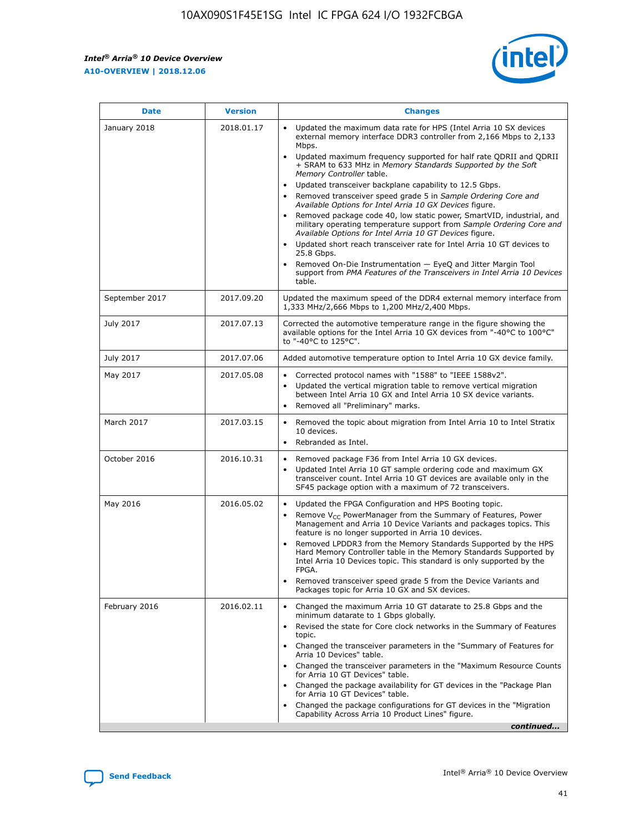*Intel® Arria® 10 Device Overview* **A10-OVERVIEW | 2018.12.06**



| <b>Date</b>    | <b>Version</b> | <b>Changes</b>                                                                                                                                                                                                                                                                                                                                                                                                                                                                                                                                                                                                                                                                                                                                                                                                                                                                                                                                                            |
|----------------|----------------|---------------------------------------------------------------------------------------------------------------------------------------------------------------------------------------------------------------------------------------------------------------------------------------------------------------------------------------------------------------------------------------------------------------------------------------------------------------------------------------------------------------------------------------------------------------------------------------------------------------------------------------------------------------------------------------------------------------------------------------------------------------------------------------------------------------------------------------------------------------------------------------------------------------------------------------------------------------------------|
| January 2018   | 2018.01.17     | Updated the maximum data rate for HPS (Intel Arria 10 SX devices<br>external memory interface DDR3 controller from 2,166 Mbps to 2,133<br>Mbps.<br>Updated maximum frequency supported for half rate QDRII and QDRII<br>+ SRAM to 633 MHz in Memory Standards Supported by the Soft<br>Memory Controller table.<br>Updated transceiver backplane capability to 12.5 Gbps.<br>$\bullet$<br>Removed transceiver speed grade 5 in Sample Ordering Core and<br>Available Options for Intel Arria 10 GX Devices figure.<br>Removed package code 40, low static power, SmartVID, industrial, and<br>military operating temperature support from Sample Ordering Core and<br>Available Options for Intel Arria 10 GT Devices figure.<br>Updated short reach transceiver rate for Intel Arria 10 GT devices to<br>25.8 Gbps.<br>Removed On-Die Instrumentation - EyeQ and Jitter Margin Tool<br>support from PMA Features of the Transceivers in Intel Arria 10 Devices<br>table. |
| September 2017 | 2017.09.20     | Updated the maximum speed of the DDR4 external memory interface from<br>1,333 MHz/2,666 Mbps to 1,200 MHz/2,400 Mbps.                                                                                                                                                                                                                                                                                                                                                                                                                                                                                                                                                                                                                                                                                                                                                                                                                                                     |
| July 2017      | 2017.07.13     | Corrected the automotive temperature range in the figure showing the<br>available options for the Intel Arria 10 GX devices from "-40°C to 100°C"<br>to "-40°C to 125°C".                                                                                                                                                                                                                                                                                                                                                                                                                                                                                                                                                                                                                                                                                                                                                                                                 |
| July 2017      | 2017.07.06     | Added automotive temperature option to Intel Arria 10 GX device family.                                                                                                                                                                                                                                                                                                                                                                                                                                                                                                                                                                                                                                                                                                                                                                                                                                                                                                   |
| May 2017       | 2017.05.08     | Corrected protocol names with "1588" to "IEEE 1588v2".<br>$\bullet$<br>Updated the vertical migration table to remove vertical migration<br>$\bullet$<br>between Intel Arria 10 GX and Intel Arria 10 SX device variants.<br>Removed all "Preliminary" marks.<br>$\bullet$                                                                                                                                                                                                                                                                                                                                                                                                                                                                                                                                                                                                                                                                                                |
| March 2017     | 2017.03.15     | Removed the topic about migration from Intel Arria 10 to Intel Stratix<br>10 devices.<br>Rebranded as Intel.<br>$\bullet$                                                                                                                                                                                                                                                                                                                                                                                                                                                                                                                                                                                                                                                                                                                                                                                                                                                 |
| October 2016   | 2016.10.31     | Removed package F36 from Intel Arria 10 GX devices.<br>Updated Intel Arria 10 GT sample ordering code and maximum GX<br>$\bullet$<br>transceiver count. Intel Arria 10 GT devices are available only in the<br>SF45 package option with a maximum of 72 transceivers.                                                                                                                                                                                                                                                                                                                                                                                                                                                                                                                                                                                                                                                                                                     |
| May 2016       | 2016.05.02     | Updated the FPGA Configuration and HPS Booting topic.<br>$\bullet$<br>Remove V <sub>CC</sub> PowerManager from the Summary of Features, Power<br>Management and Arria 10 Device Variants and packages topics. This<br>feature is no longer supported in Arria 10 devices.<br>Removed LPDDR3 from the Memory Standards Supported by the HPS<br>Hard Memory Controller table in the Memory Standards Supported by<br>Intel Arria 10 Devices topic. This standard is only supported by the<br>FPGA.<br>Removed transceiver speed grade 5 from the Device Variants and<br>Packages topic for Arria 10 GX and SX devices.                                                                                                                                                                                                                                                                                                                                                      |
| February 2016  | 2016.02.11     | Changed the maximum Arria 10 GT datarate to 25.8 Gbps and the<br>minimum datarate to 1 Gbps globally.<br>Revised the state for Core clock networks in the Summary of Features<br>$\bullet$<br>topic.<br>Changed the transceiver parameters in the "Summary of Features for<br>$\bullet$<br>Arria 10 Devices" table.<br>• Changed the transceiver parameters in the "Maximum Resource Counts<br>for Arria 10 GT Devices" table.<br>Changed the package availability for GT devices in the "Package Plan<br>for Arria 10 GT Devices" table.<br>Changed the package configurations for GT devices in the "Migration"<br>Capability Across Arria 10 Product Lines" figure.<br>continued                                                                                                                                                                                                                                                                                       |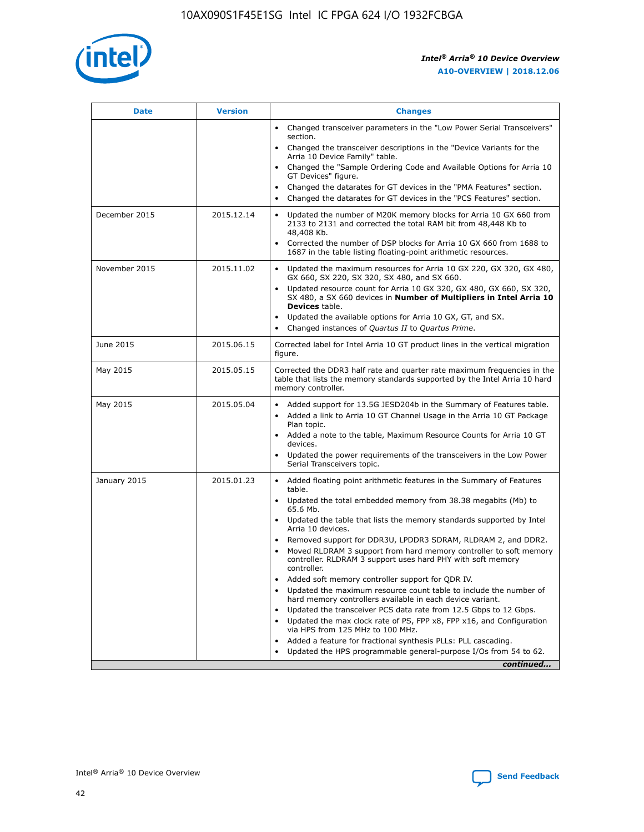

| <b>Date</b>   | <b>Version</b> | <b>Changes</b>                                                                                                                                                               |
|---------------|----------------|------------------------------------------------------------------------------------------------------------------------------------------------------------------------------|
|               |                | • Changed transceiver parameters in the "Low Power Serial Transceivers"<br>section.                                                                                          |
|               |                | • Changed the transceiver descriptions in the "Device Variants for the<br>Arria 10 Device Family" table.                                                                     |
|               |                | • Changed the "Sample Ordering Code and Available Options for Arria 10<br>GT Devices" figure.                                                                                |
|               |                | Changed the datarates for GT devices in the "PMA Features" section.<br>$\bullet$                                                                                             |
|               |                | Changed the datarates for GT devices in the "PCS Features" section.<br>$\bullet$                                                                                             |
| December 2015 | 2015.12.14     | Updated the number of M20K memory blocks for Arria 10 GX 660 from<br>2133 to 2131 and corrected the total RAM bit from 48,448 Kb to<br>48,408 Kb.                            |
|               |                | Corrected the number of DSP blocks for Arria 10 GX 660 from 1688 to<br>1687 in the table listing floating-point arithmetic resources.                                        |
| November 2015 | 2015.11.02     | Updated the maximum resources for Arria 10 GX 220, GX 320, GX 480,<br>$\bullet$<br>GX 660, SX 220, SX 320, SX 480, and SX 660.                                               |
|               |                | • Updated resource count for Arria 10 GX 320, GX 480, GX 660, SX 320,<br>SX 480, a SX 660 devices in Number of Multipliers in Intel Arria 10<br><b>Devices</b> table.        |
|               |                | • Updated the available options for Arria 10 GX, GT, and SX.                                                                                                                 |
|               |                | • Changed instances of Quartus II to Quartus Prime.                                                                                                                          |
| June 2015     | 2015.06.15     | Corrected label for Intel Arria 10 GT product lines in the vertical migration<br>figure.                                                                                     |
| May 2015      | 2015.05.15     | Corrected the DDR3 half rate and quarter rate maximum frequencies in the<br>table that lists the memory standards supported by the Intel Arria 10 hard<br>memory controller. |
| May 2015      | 2015.05.04     | • Added support for 13.5G JESD204b in the Summary of Features table.<br>• Added a link to Arria 10 GT Channel Usage in the Arria 10 GT Package<br>Plan topic.                |
|               |                | • Added a note to the table, Maximum Resource Counts for Arria 10 GT<br>devices.                                                                                             |
|               |                | • Updated the power requirements of the transceivers in the Low Power<br>Serial Transceivers topic.                                                                          |
| January 2015  | 2015.01.23     | • Added floating point arithmetic features in the Summary of Features<br>table.                                                                                              |
|               |                | • Updated the total embedded memory from 38.38 megabits (Mb) to<br>65.6 Mb.                                                                                                  |
|               |                | • Updated the table that lists the memory standards supported by Intel<br>Arria 10 devices.                                                                                  |
|               |                | • Removed support for DDR3U, LPDDR3 SDRAM, RLDRAM 2, and DDR2.                                                                                                               |
|               |                | Moved RLDRAM 3 support from hard memory controller to soft memory<br>$\bullet$<br>controller. RLDRAM 3 support uses hard PHY with soft memory<br>controller.                 |
|               |                | Added soft memory controller support for QDR IV.                                                                                                                             |
|               |                | Updated the maximum resource count table to include the number of<br>hard memory controllers available in each device variant.                                               |
|               |                | Updated the transceiver PCS data rate from 12.5 Gbps to 12 Gbps.<br>$\bullet$                                                                                                |
|               |                | Updated the max clock rate of PS, FPP x8, FPP x16, and Configuration<br>via HPS from 125 MHz to 100 MHz.                                                                     |
|               |                | Added a feature for fractional synthesis PLLs: PLL cascading.                                                                                                                |
|               |                | Updated the HPS programmable general-purpose I/Os from 54 to 62.<br>$\bullet$<br>continued                                                                                   |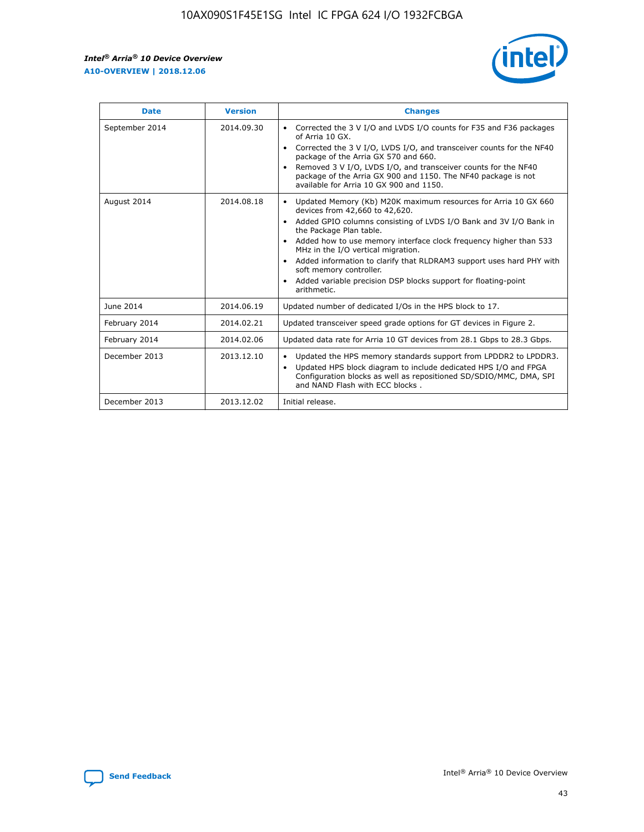r



| <b>Date</b>    | <b>Version</b> | <b>Changes</b>                                                                                                                                                                                                                                                                                                                                                                                                                                                                                                                                      |
|----------------|----------------|-----------------------------------------------------------------------------------------------------------------------------------------------------------------------------------------------------------------------------------------------------------------------------------------------------------------------------------------------------------------------------------------------------------------------------------------------------------------------------------------------------------------------------------------------------|
| September 2014 | 2014.09.30     | Corrected the 3 V I/O and LVDS I/O counts for F35 and F36 packages<br>$\bullet$<br>of Arria 10 GX.<br>Corrected the 3 V I/O, LVDS I/O, and transceiver counts for the NF40<br>$\bullet$<br>package of the Arria GX 570 and 660.<br>Removed 3 V I/O, LVDS I/O, and transceiver counts for the NF40<br>package of the Arria GX 900 and 1150. The NF40 package is not<br>available for Arria 10 GX 900 and 1150.                                                                                                                                       |
| August 2014    | 2014.08.18     | Updated Memory (Kb) M20K maximum resources for Arria 10 GX 660<br>devices from 42,660 to 42,620.<br>Added GPIO columns consisting of LVDS I/O Bank and 3V I/O Bank in<br>$\bullet$<br>the Package Plan table.<br>Added how to use memory interface clock frequency higher than 533<br>$\bullet$<br>MHz in the I/O vertical migration.<br>Added information to clarify that RLDRAM3 support uses hard PHY with<br>$\bullet$<br>soft memory controller.<br>Added variable precision DSP blocks support for floating-point<br>$\bullet$<br>arithmetic. |
| June 2014      | 2014.06.19     | Updated number of dedicated I/Os in the HPS block to 17.                                                                                                                                                                                                                                                                                                                                                                                                                                                                                            |
| February 2014  | 2014.02.21     | Updated transceiver speed grade options for GT devices in Figure 2.                                                                                                                                                                                                                                                                                                                                                                                                                                                                                 |
| February 2014  | 2014.02.06     | Updated data rate for Arria 10 GT devices from 28.1 Gbps to 28.3 Gbps.                                                                                                                                                                                                                                                                                                                                                                                                                                                                              |
| December 2013  | 2013.12.10     | Updated the HPS memory standards support from LPDDR2 to LPDDR3.<br>Updated HPS block diagram to include dedicated HPS I/O and FPGA<br>$\bullet$<br>Configuration blocks as well as repositioned SD/SDIO/MMC, DMA, SPI<br>and NAND Flash with ECC blocks.                                                                                                                                                                                                                                                                                            |
| December 2013  | 2013.12.02     | Initial release.                                                                                                                                                                                                                                                                                                                                                                                                                                                                                                                                    |